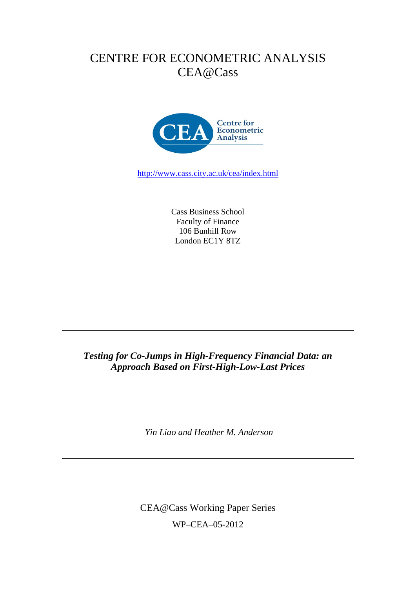# CENTRE FOR ECONOMETRIC ANALYSIS CEA@Cass



http://www.cass.city.ac.uk/cea/index.html

Cass Business School Faculty of Finance 106 Bunhill Row London EC1Y 8TZ

## *Testing for Co-Jumps in High-Frequency Financial Data: an Approach Based on First-High-Low-Last Prices*

 *Yin Liao and Heather M. Anderson* 

CEA@Cass Working Paper Series WP–CEA–05-2012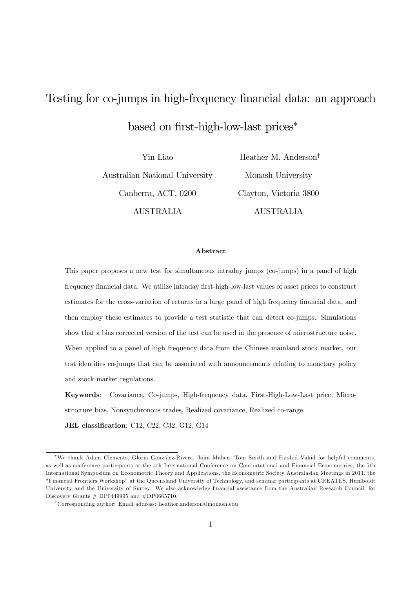# Testing for co-jumps in high-frequency financial data: an approach based on first-high-low-last prices<sup>∗</sup>

Yin Liao Australian National University Canberra, ACT, 0200 AUSTRALIA

Heather M. Anderson† Monash University Clayton, Victoria 3800 AUSTRALIA

#### Abstract

This paper proposes a new test for simultaneous intraday jumps (co-jumps) in a panel of high frequency financial data. We utilize intraday first-high-low-last values of asset prices to construct estimates for the cross-variation of returns in a large panel of high frequency financial data, and then employ these estimates to provide a test statistic that can detect co-jumps. Simulations show that a bias corrected version of the test can be used in the presence of microstructure noise. When applied to a panel of high frequency data from the Chinese mainland stock market, our test identifies co-jumps that can be associated with announcements relating to monetary policy and stock market regulations.

Keywords: Covariance, Co-jumps, High-frequency data, First-High-Low-Last price, Microstructure bias, Nonsynchronous trades, Realized covariance, Realized co-range.

JEL classification: C12, C22, C32, G12, G14

<sup>∗</sup>We thank Adam Clements, Gloria González-Rivera, John Maheu, Tom Smith and Farshid Vahid for helpful comments, as well as conference participants at the 4th International Conference on Computational and Financial Econometrics, the 7th International Symposium on Econometric Theory and Applications, the Econometric Society Australasian Meetings in 2011, the "Financial Frontiers Workshop" at the Queensland University of Technology, and seminar participants at CREATES, Humboldt University and the University of Surrey. We also acknowledge financial assistance from the Australian Research Council, for Discovery Grants  $# DP0449995$  and  $#DP0665710$ .

<sup>†</sup>Corresponding author: Email address: heather.anderson@monash.edu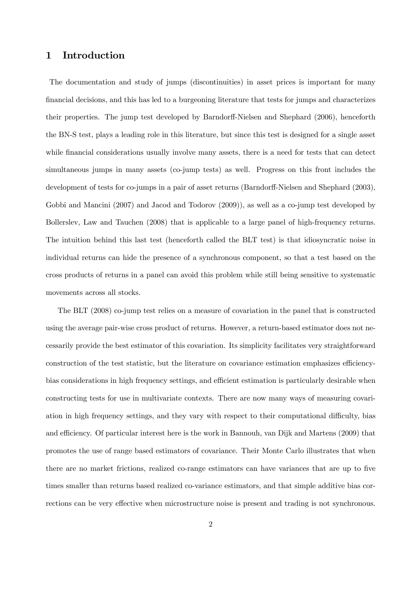## 1 Introduction

The documentation and study of jumps (discontinuities) in asset prices is important for many financial decisions, and this has led to a burgeoning literature that tests for jumps and characterizes their properties. The jump test developed by Barndorff-Nielsen and Shephard (2006), henceforth the BN-S test, plays a leading role in this literature, but since this test is designed for a single asset while financial considerations usually involve many assets, there is a need for tests that can detect simultaneous jumps in many assets (co-jump tests) as well. Progress on this front includes the development of tests for co-jumps in a pair of asset returns (Barndorff-Nielsen and Shephard (2003), Gobbi and Mancini (2007) and Jacod and Todorov (2009)), as well as a co-jump test developed by Bollerslev, Law and Tauchen (2008) that is applicable to a large panel of high-frequency returns. The intuition behind this last test (henceforth called the BLT test) is that idiosyncratic noise in individual returns can hide the presence of a synchronous component, so that a test based on the cross products of returns in a panel can avoid this problem while still being sensitive to systematic movements across all stocks.

The BLT (2008) co-jump test relies on a measure of covariation in the panel that is constructed using the average pair-wise cross product of returns. However, a return-based estimator does not necessarily provide the best estimator of this covariation. Its simplicity facilitates very straightforward construction of the test statistic, but the literature on covariance estimation emphasizes efficiencybias considerations in high frequency settings, and efficient estimation is particularly desirable when constructing tests for use in multivariate contexts. There are now many ways of measuring covariation in high frequency settings, and they vary with respect to their computational difficulty, bias and efficiency. Of particular interest here is the work in Bannouh, van Dijk and Martens (2009) that promotes the use of range based estimators of covariance. Their Monte Carlo illustrates that when there are no market frictions, realized co-range estimators can have variances that are up to five times smaller than returns based realized co-variance estimators, and that simple additive bias corrections can be very effective when microstructure noise is present and trading is not synchronous.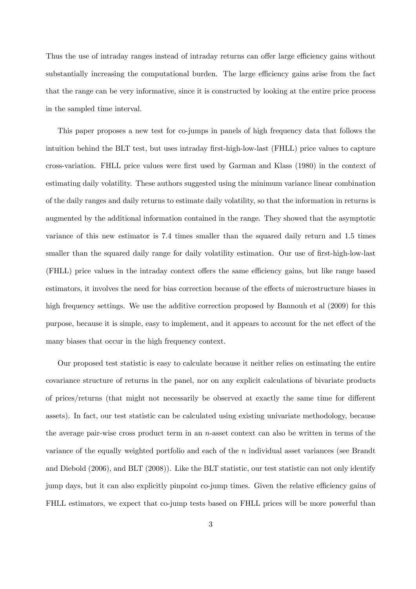Thus the use of intraday ranges instead of intraday returns can offer large efficiency gains without substantially increasing the computational burden. The large efficiency gains arise from the fact that the range can be very informative, since it is constructed by looking at the entire price process in the sampled time interval.

This paper proposes a new test for co-jumps in panels of high frequency data that follows the intuition behind the BLT test, but uses intraday first-high-low-last (FHLL) price values to capture cross-variation. FHLL price values were first used by Garman and Klass (1980) in the context of estimating daily volatility. These authors suggested using the minimum variance linear combination of the daily ranges and daily returns to estimate daily volatility, so that the information in returns is augmented by the additional information contained in the range. They showed that the asymptotic variance of this new estimator is 7.4 times smaller than the squared daily return and 1.5 times smaller than the squared daily range for daily volatility estimation. Our use of first-high-low-last (FHLL) price values in the intraday context offers the same efficiency gains, but like range based estimators, it involves the need for bias correction because of the effects of microstructure biases in high frequency settings. We use the additive correction proposed by Bannouh et al (2009) for this purpose, because it is simple, easy to implement, and it appears to account for the net effect of the many biases that occur in the high frequency context.

Our proposed test statistic is easy to calculate because it neither relies on estimating the entire covariance structure of returns in the panel, nor on any explicit calculations of bivariate products of prices/returns (that might not necessarily be observed at exactly the same time for different assets). In fact, our test statistic can be calculated using existing univariate methodology, because the average pair-wise cross product term in an  $n$ -asset context can also be written in terms of the variance of the equally weighted portfolio and each of the n individual asset variances (see Brandt and Diebold (2006), and BLT (2008)). Like the BLT statistic, our test statistic can not only identify jump days, but it can also explicitly pinpoint co-jump times. Given the relative efficiency gains of FHLL estimators, we expect that co-jump tests based on FHLL prices will be more powerful than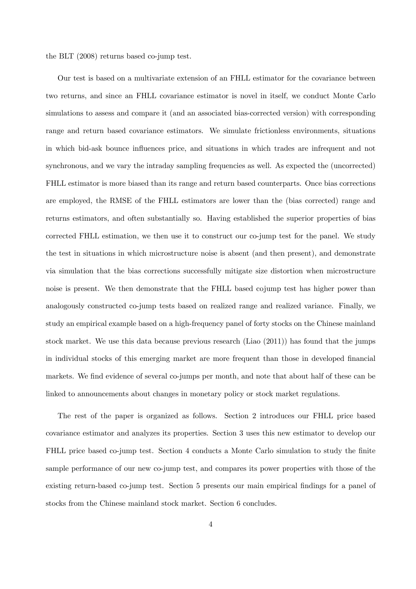the BLT (2008) returns based co-jump test.

Our test is based on a multivariate extension of an FHLL estimator for the covariance between two returns, and since an FHLL covariance estimator is novel in itself, we conduct Monte Carlo simulations to assess and compare it (and an associated bias-corrected version) with corresponding range and return based covariance estimators. We simulate frictionless environments, situations in which bid-ask bounce influences price, and situations in which trades are infrequent and not synchronous, and we vary the intraday sampling frequencies as well. As expected the (uncorrected) FHLL estimator is more biased than its range and return based counterparts. Once bias corrections are employed, the RMSE of the FHLL estimators are lower than the (bias corrected) range and returns estimators, and often substantially so. Having established the superior properties of bias corrected FHLL estimation, we then use it to construct our co-jump test for the panel. We study the test in situations in which microstructure noise is absent (and then present), and demonstrate via simulation that the bias corrections successfully mitigate size distortion when microstructure noise is present. We then demonstrate that the FHLL based cojump test has higher power than analogously constructed co-jump tests based on realized range and realized variance. Finally, we study an empirical example based on a high-frequency panel of forty stocks on the Chinese mainland stock market. We use this data because previous research (Liao (2011)) has found that the jumps in individual stocks of this emerging market are more frequent than those in developed financial markets. We find evidence of several co-jumps per month, and note that about half of these can be linked to announcements about changes in monetary policy or stock market regulations.

The rest of the paper is organized as follows. Section 2 introduces our FHLL price based covariance estimator and analyzes its properties. Section 3 uses this new estimator to develop our FHLL price based co-jump test. Section 4 conducts a Monte Carlo simulation to study the finite sample performance of our new co-jump test, and compares its power properties with those of the existing return-based co-jump test. Section 5 presents our main empirical findings for a panel of stocks from the Chinese mainland stock market. Section 6 concludes.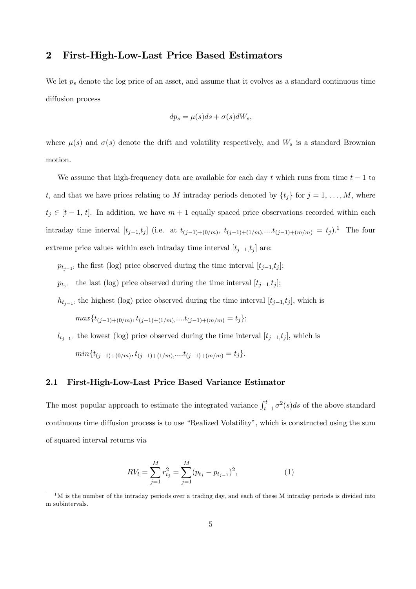## 2 First-High-Low-Last Price Based Estimators

We let  $p_s$  denote the log price of an asset, and assume that it evolves as a standard continuous time diffusion process

$$
dp_s = \mu(s)ds + \sigma(s)dW_s,
$$

where  $\mu(s)$  and  $\sigma(s)$  denote the drift and volatility respectively, and  $W_s$  is a standard Brownian motion.

We assume that high-frequency data are available for each day t which runs from time  $t - 1$  to t, and that we have prices relating to M intraday periods denoted by  $\{t_j\}$  for  $j = 1, \ldots, M$ , where  $t_j \in [t-1, t]$ . In addition, we have  $m+1$  equally spaced price observations recorded within each intraday time interval  $[t_{j-1},t_j]$  (i.e. at  $t_{(j-1)+(0/m)}$ ,  $t_{(j-1)+(1/m)}$ ,.... $t_{(j-1)+(m/m)} = t_j$ ).<sup>1</sup> The four extreme price values within each intraday time interval  $[t_{j-1}, t_j]$  are:

 $p_{t_{j-1}}$ : the first (log) price observed during the time interval  $[t_{j-1}, t_j]$ ;

 $p_{t_j}$ : the last (log) price observed during the time interval  $[t_{j-1}, t_j]$ ;

 $h_{t_{j-1}}$ : the highest (log) price observed during the time interval  $[t_{j-1},t_j]$ , which is

 $max{t_{(i-1)+(0/m)}, t_{(i-1)+(1/m),}...t_{(i-1)+(m/m)} = t_i};$ 

 $l_{t_{j-1}}$ : the lowest (log) price observed during the time interval  $[t_{j-1},t_j]$ , which is

 $min{t_{(j-1)+(0/m)}, t_{(j-1)+(1/m),}...t_{(j-1)+(m/m)} = t_j}.$ 

## 2.1 First-High-Low-Last Price Based Variance Estimator

The most popular approach to estimate the integrated variance  $\int_{t-1}^{t} \sigma^2(s)ds$  of the above standard continuous time diffusion process is to use "Realized Volatility", which is constructed using the sum of squared interval returns via

$$
RV_t = \sum_{j=1}^{M} r_{t_j}^2 = \sum_{j=1}^{M} (p_{t_j} - p_{t_{j-1}})^2,
$$
\n(1)

 $1<sup>1</sup>M$  is the number of the intraday periods over a trading day, and each of these M intraday periods is divided into m subintervals.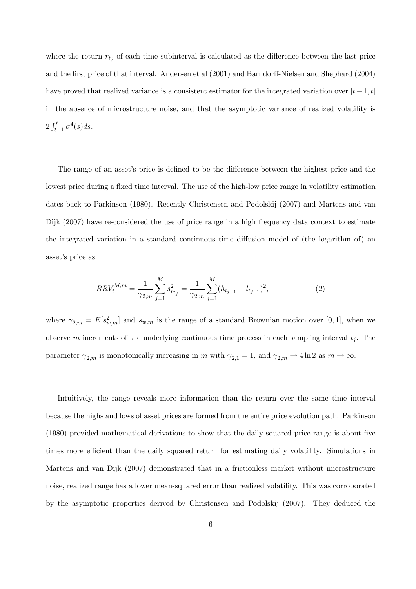where the return  $r_{t_j}$  of each time subinterval is calculated as the difference between the last price and the first price of that interval. Andersen et al (2001) and Barndorff-Nielsen and Shephard (2004) have proved that realized variance is a consistent estimator for the integrated variation over  $[t-1, t]$ in the absence of microstructure noise, and that the asymptotic variance of realized volatility is  $2\int_{t-1}^{t} \sigma^4(s)ds.$ 

The range of an asset's price is defined to be the difference between the highest price and the lowest price during a fixed time interval. The use of the high-low price range in volatility estimation dates back to Parkinson (1980). Recently Christensen and Podolskij (2007) and Martens and van Dijk (2007) have re-considered the use of price range in a high frequency data context to estimate the integrated variation in a standard continuous time diffusion model of (the logarithm of) an asset's price as

$$
RRV_t^{M,m} = \frac{1}{\gamma_{2,m}} \sum_{j=1}^M s_{p_{t_j}}^2 = \frac{1}{\gamma_{2,m}} \sum_{j=1}^M (h_{t_{j-1}} - l_{t_{j-1}})^2,
$$
\n(2)

where  $\gamma_{2,m} = E[s_{w,m}^2]$  and  $s_{w,m}$  is the range of a standard Brownian motion over [0, 1], when we observe m increments of the underlying continuous time process in each sampling interval  $t_i$ . The parameter  $\gamma_{2,m}$  is monotonically increasing in m with  $\gamma_{2,1} = 1$ , and  $\gamma_{2,m} \to 4 \ln 2$  as  $m \to \infty$ .

Intuitively, the range reveals more information than the return over the same time interval because the highs and lows of asset prices are formed from the entire price evolution path. Parkinson (1980) provided mathematical derivations to show that the daily squared price range is about five times more efficient than the daily squared return for estimating daily volatility. Simulations in Martens and van Dijk (2007) demonstrated that in a frictionless market without microstructure noise, realized range has a lower mean-squared error than realized volatility. This was corroborated by the asymptotic properties derived by Christensen and Podolskij (2007). They deduced the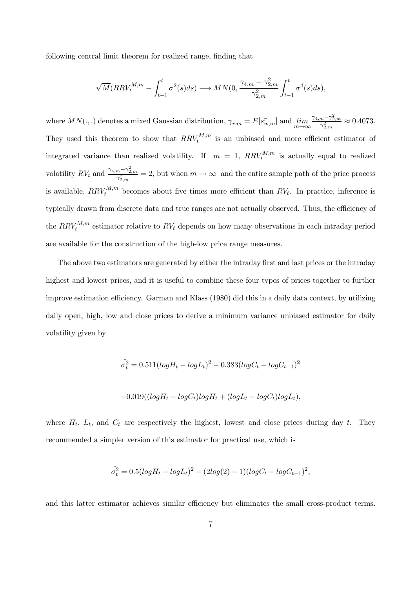following central limit theorem for realized range, finding that

$$
\sqrt{M}(RRV_t^{M,m} - \int_{t-1}^t \sigma^2(s)ds) \longrightarrow MN(0, \frac{\gamma_{4,m} - \gamma_{2,m}^2}{\gamma_{2,m}^2} \int_{t-1}^t \sigma^4(s)ds),
$$

where  $MN(.,.)$  denotes a mixed Gaussian distribution,  $\gamma_{r,m} = E[s^r_{w,m}]$  and  $\lim_{m \to \infty}$  $\frac{\gamma_{4,m}-\gamma_{2,m}^2}{\gamma_{2,m}^2} \approx 0.4073.$ They used this theorem to show that  $RRV_t^{M,m}$  is an unbiased and more efficient estimator of integrated variance than realized volatility. If  $m = 1$ ,  $RRV_t^{M,m}$  is actually equal to realized volatility  $RV_t$  and  $\frac{\gamma_{4,m}-\gamma_{2,m}^2}{\gamma_{2,m}^2}=2$ , but when  $m\to\infty$  and the entire sample path of the price process is available,  $RRV_t^{M,m}$  becomes about five times more efficient than  $RV_t$ . In practice, inference is typically drawn from discrete data and true ranges are not actually observed. Thus, the efficiency of the  $RRV_t^{M,m}$  estimator relative to  $RV_t$  depends on how many observations in each intraday period are available for the construction of the high-low price range measures.

The above two estimators are generated by either the intraday first and last prices or the intraday highest and lowest prices, and it is useful to combine these four types of prices together to further improve estimation efficiency. Garman and Klass (1980) did this in a daily data context, by utilizing daily open, high, low and close prices to derive a minimum variance unbiased estimator for daily volatility given by

$$
\hat{\sigma}_t^2 = 0.511(logH_t - logL_t)^2 - 0.383(logC_t - logC_{t-1})^2
$$

$$
-0.019((logH_t - logC_t)logH_t + (logL_t - logC_t)logL_t),
$$

where  $H_t$ ,  $L_t$ , and  $C_t$  are respectively the highest, lowest and close prices during day t. They recommended a simpler version of this estimator for practical use, which is

$$
\hat{\sigma}_t^2 = 0.5(logH_t - logL_t)^2 - (2log(2) - 1)(logC_t - logC_{t-1})^2,
$$

and this latter estimator achieves similar efficiency but eliminates the small cross-product terms.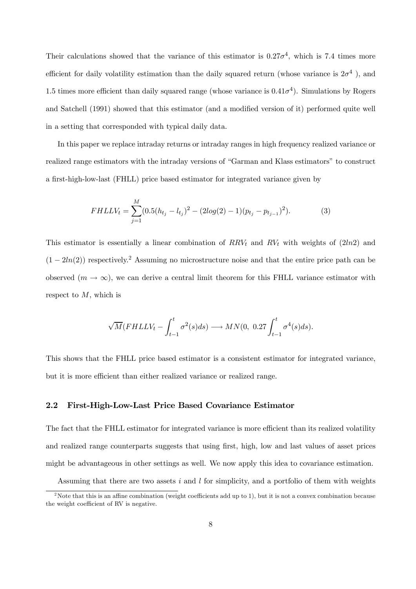Their calculations showed that the variance of this estimator is  $0.27\sigma^4$ , which is 7.4 times more efficient for daily volatility estimation than the daily squared return (whose variance is  $2\sigma^4$ ), and 1.5 times more efficient than daily squared range (whose variance is  $0.41\sigma^4$ ). Simulations by Rogers and Satchell (1991) showed that this estimator (and a modified version of it) performed quite well in a setting that corresponded with typical daily data.

In this paper we replace intraday returns or intraday ranges in high frequency realized variance or realized range estimators with the intraday versions of "Garman and Klass estimators" to construct a first-high-low-last (FHLL) price based estimator for integrated variance given by

$$
FHLLV_t = \sum_{j=1}^{M} (0.5(h_{t_j} - l_{t_j})^2 - (2log(2) - 1)(p_{t_j} - p_{t_{j-1}})^2).
$$
 (3)

This estimator is essentially a linear combination of  $RRV_t$  and  $RV_t$  with weights of (2ln2) and  $(1 - 2ln(2))$  respectively.<sup>2</sup> Assuming no microstructure noise and that the entire price path can be observed  $(m \to \infty)$ , we can derive a central limit theorem for this FHLL variance estimator with respect to M, which is

$$
\sqrt{M}(FHLLV_t - \int_{t-1}^t \sigma^2(s)ds) \longrightarrow MN(0, 0.27 \int_{t-1}^t \sigma^4(s)ds).
$$

This shows that the FHLL price based estimator is a consistent estimator for integrated variance, but it is more efficient than either realized variance or realized range.

## 2.2 First-High-Low-Last Price Based Covariance Estimator

The fact that the FHLL estimator for integrated variance is more efficient than its realized volatility and realized range counterparts suggests that using first, high, low and last values of asset prices might be advantageous in other settings as well. We now apply this idea to covariance estimation.

Assuming that there are two assets i and l for simplicity, and a portfolio of them with weights

<sup>&</sup>lt;sup>2</sup>Note that this is an affine combination (weight coefficients add up to 1), but it is not a convex combination because the weight coefficient of RV is negative.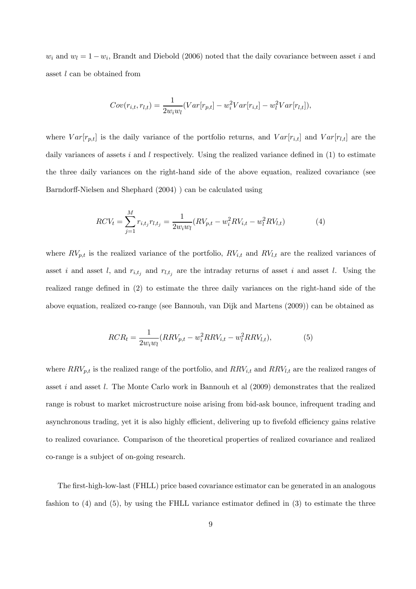$w_i$  and  $w_l = 1 - w_i$ , Brandt and Diebold (2006) noted that the daily covariance between asset i and asset l can be obtained from

$$
Cov(r_{i,t}, r_{l,t}) = \frac{1}{2w_iw_l}(Var[r_{p,t}] - w_i^2Var[r_{i,t}] - w_l^2Var[r_{l,t}]),
$$

where  $Var[r_{p,t}]$  is the daily variance of the portfolio returns, and  $Var[r_{i,t}]$  and  $Var[r_{l,t}]$  are the daily variances of assets i and l respectively. Using the realized variance defined in  $(1)$  to estimate the three daily variances on the right-hand side of the above equation, realized covariance (see Barndorff-Nielsen and Shephard (2004) ) can be calculated using

$$
RCV_t = \sum_{j=1}^{M} r_{i,t_j} r_{l,t_j} = \frac{1}{2w_i w_l} (RV_{p,t} - w_i^2 RV_{i,t} - w_l^2 RV_{l,t})
$$
(4)

where  $RV_{p,t}$  is the realized variance of the portfolio,  $RV_{i,t}$  and  $RV_{l,t}$  are the realized variances of asset i and asset l, and  $r_{i,t_j}$  and  $r_{l,t_j}$  are the intraday returns of asset i and asset l. Using the realized range defined in (2) to estimate the three daily variances on the right-hand side of the above equation, realized co-range (see Bannouh, van Dijk and Martens (2009)) can be obtained as

$$
RCR_t = \frac{1}{2w_i w_l} (RRV_{p,t} - w_i^2 RRV_{i,t} - w_l^2 RRV_{l,t}),
$$
\n(5)

where  $RRV_{p,t}$  is the realized range of the portfolio, and  $RRV_{i,t}$  and  $RRV_{l,t}$  are the realized ranges of asset i and asset l. The Monte Carlo work in Bannouh et al (2009) demonstrates that the realized range is robust to market microstructure noise arising from bid-ask bounce, infrequent trading and asynchronous trading, yet it is also highly efficient, delivering up to fivefold efficiency gains relative to realized covariance. Comparison of the theoretical properties of realized covariance and realized co-range is a subject of on-going research.

The first-high-low-last (FHLL) price based covariance estimator can be generated in an analogous fashion to (4) and (5), by using the FHLL variance estimator defined in (3) to estimate the three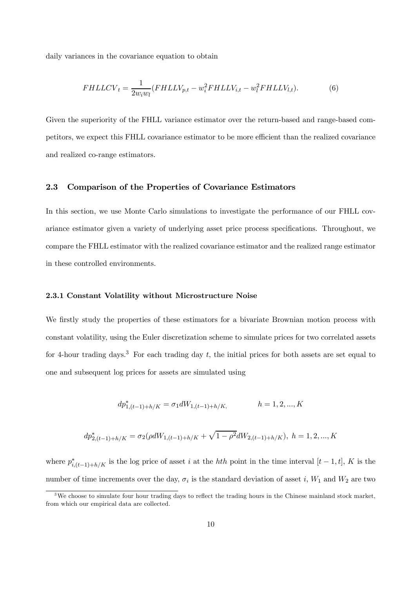daily variances in the covariance equation to obtain

$$
FHLLCV_t = \frac{1}{2w_i w_l} (FHLLV_{p,t} - w_i^2 FHLLV_{i,t} - w_l^2 FHLLV_{l,t}).
$$
\n
$$
(6)
$$

Given the superiority of the FHLL variance estimator over the return-based and range-based competitors, we expect this FHLL covariance estimator to be more efficient than the realized covariance and realized co-range estimators.

## 2.3 Comparison of the Properties of Covariance Estimators

In this section, we use Monte Carlo simulations to investigate the performance of our FHLL covariance estimator given a variety of underlying asset price process specifications. Throughout, we compare the FHLL estimator with the realized covariance estimator and the realized range estimator in these controlled environments.

#### 2.3.1 Constant Volatility without Microstructure Noise

We firstly study the properties of these estimators for a bivariate Brownian motion process with constant volatility, using the Euler discretization scheme to simulate prices for two correlated assets for 4-hour trading days.<sup>3</sup> For each trading day t, the initial prices for both assets are set equal to one and subsequent log prices for assets are simulated using

$$
dp_{1,(t-1)+h/K}^* = \sigma_1 dW_{1,(t-1)+h/K}, \qquad h = 1, 2, ..., K
$$

$$
dp_{2,(t-1)+h/K}^{*} = \sigma_{2}(\rho dW_{1,(t-1)+h/K} + \sqrt{1-\rho^{2}}dW_{2,(t-1)+h/K}), \quad h = 1, 2, ..., K
$$

where  $p_{i,(t-1)+h/K}^*$  is the log price of asset i at the hth point in the time interval  $[t-1,t]$ , K is the number of time increments over the day,  $\sigma_i$  is the standard deviation of asset i,  $W_1$  and  $W_2$  are two

<sup>&</sup>lt;sup>3</sup>We choose to simulate four hour trading days to reflect the trading hours in the Chinese mainland stock market, from which our empirical data are collected.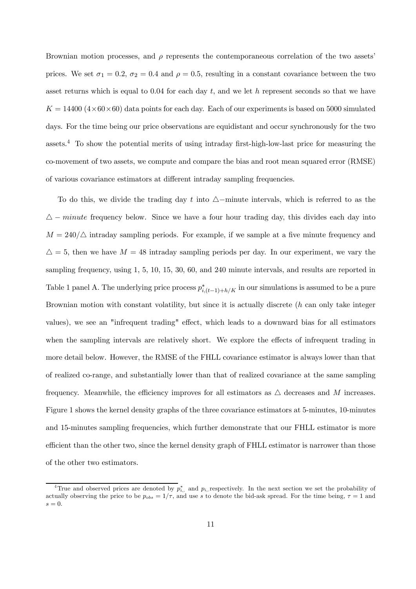Brownian motion processes, and  $\rho$  represents the contemporaneous correlation of the two assets' prices. We set  $\sigma_1 = 0.2$ ,  $\sigma_2 = 0.4$  and  $\rho = 0.5$ , resulting in a constant covariance between the two asset returns which is equal to  $0.04$  for each day t, and we let h represent seconds so that we have  $K = 14400 (4 \times 60 \times 60)$  data points for each day. Each of our experiments is based on 5000 simulated days. For the time being our price observations are equidistant and occur synchronously for the two assets.<sup>4</sup> To show the potential merits of using intraday first-high-low-last price for measuring the co-movement of two assets, we compute and compare the bias and root mean squared error (RMSE) of various covariance estimators at different intraday sampling frequencies.

To do this, we divide the trading day t into  $\Delta$ -minute intervals, which is referred to as the  $\Delta$  – minute frequency below. Since we have a four hour trading day, this divides each day into  $M = 240/\triangle$  intraday sampling periods. For example, if we sample at a five minute frequency and  $\Delta = 5$ , then we have  $M = 48$  intraday sampling periods per day. In our experiment, we vary the sampling frequency, using 1, 5, 10, 15, 30, 60, and 240 minute intervals, and results are reported in Table 1 panel A. The underlying price process  $p_{i,(t-1)+h/K}^*$  in our simulations is assumed to be a pure Brownian motion with constant volatility, but since it is actually discrete (h can only take integer values), we see an "infrequent trading" effect, which leads to a downward bias for all estimators when the sampling intervals are relatively short. We explore the effects of infrequent trading in more detail below. However, the RMSE of the FHLL covariance estimator is always lower than that of realized co-range, and substantially lower than that of realized covariance at the same sampling frequency. Meanwhile, the efficiency improves for all estimators as  $\triangle$  decreases and M increases. Figure 1 shows the kernel density graphs of the three covariance estimators at 5-minutes, 10-minutes and 15-minutes sampling frequencies, which further demonstrate that our FHLL estimator is more efficient than the other two, since the kernel density graph of FHLL estimator is narrower than those of the other two estimators.

<sup>&</sup>lt;sup>4</sup>True and observed prices are denoted by  $p_{i,.}^*$  and  $p_{i,.}$  respectively. In the next section we set the probability of actually observing the price to be  $p_{obs} = 1/\tau$ , and use s to denote the bid-ask spread. For the time being,  $\tau = 1$  and  $s=0.$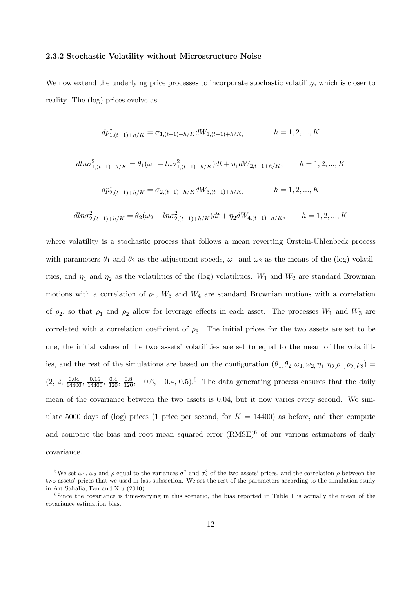#### 2.3.2 Stochastic Volatility without Microstructure Noise

We now extend the underlying price processes to incorporate stochastic volatility, which is closer to reality. The (log) prices evolve as

$$
dp_{1,(t-1)+h/K}^* = \sigma_{1,(t-1)+h/K} dW_{1,(t-1)+h/K}, \qquad h = 1, 2, ..., K
$$

$$
dln \sigma_{1,(t-1)+h/K}^2 = \theta_1(\omega_1 - ln \sigma_{1,(t-1)+h/K}^2)dt + \eta_1 dW_{2,t-1+h/K}, \qquad h = 1, 2, ..., K
$$
  

$$
dp_{2,(t-1)+h/K}^* = \sigma_{2,(t-1)+h/K} dW_{3,(t-1)+h/K}, \qquad h = 1, 2, ..., K
$$
  

$$
dln \sigma_{2,(t-1)+h/K}^2 = \theta_2(\omega_2 - ln \sigma_{2,(t-1)+h/K}^2)dt + \eta_2 dW_{4,(t-1)+h/K}, \qquad h = 1, 2, ..., K
$$

where volatility is a stochastic process that follows a mean reverting Orstein-Uhlenbeck process with parameters  $\theta_1$  and  $\theta_2$  as the adjustment speeds,  $\omega_1$  and  $\omega_2$  as the means of the (log) volatilities, and  $\eta_1$  and  $\eta_2$  as the volatilities of the (log) volatilities.  $W_1$  and  $W_2$  are standard Brownian motions with a correlation of  $\rho_1$ ,  $W_3$  and  $W_4$  are standard Brownian motions with a correlation of  $\rho_2$ , so that  $\rho_1$  and  $\rho_2$  allow for leverage effects in each asset. The processes  $W_1$  and  $W_3$  are correlated with a correlation coefficient of  $\rho_3$ . The initial prices for the two assets are set to be one, the initial values of the two assets' volatilities are set to equal to the mean of the volatilities, and the rest of the simulations are based on the configuration  $(\theta_1, \theta_2, \omega_1, \omega_2, \eta_1, \eta_2, \rho_1, \rho_2, \rho_3)$  $(2, 2, \frac{0.04}{14400}, \frac{0.16}{14400}, \frac{0.4}{120}, \frac{0.8}{120}, -0.6, -0.4, 0.5).$ <sup>5</sup> The data generating process ensures that the daily mean of the covariance between the two assets is 0.04, but it now varies every second. We simulate 5000 days of (log) prices (1 price per second, for  $K = 14400$ ) as before, and then compute and compare the bias and root mean squared error  $(RMSE)^6$  of our various estimators of daily covariance.

<sup>&</sup>lt;sup>5</sup>We set  $\omega_1$ ,  $\omega_2$  and  $\rho$  equal to the variances  $\sigma_1^2$  and  $\sigma_2^2$  of the two assets' prices, and the correlation  $\rho$  between the two assets' prices that we used in last subsection. We set the rest of the parameters according to the simulation study in Aït-Sahalia, Fan and Xiu (2010).

<sup>&</sup>lt;sup>6</sup>Since the covariance is time-varying in this scenario, the bias reported in Table 1 is actually the mean of the covariance estimation bias.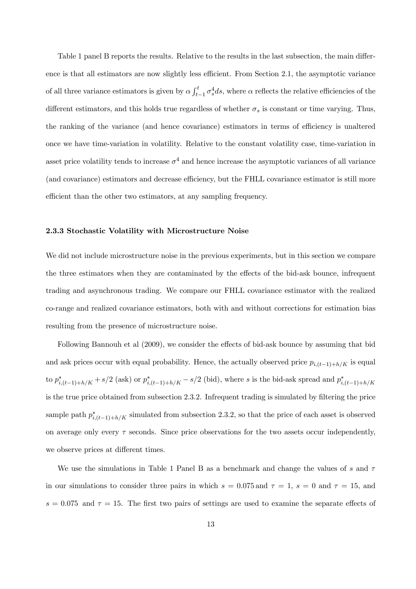Table 1 panel B reports the results. Relative to the results in the last subsection, the main difference is that all estimators are now slightly less efficient. From Section 2.1, the asymptotic variance of all three variance estimators is given by  $\alpha \int_{t-1}^{t} \sigma_s^4 ds$ , where  $\alpha$  reflects the relative efficiencies of the different estimators, and this holds true regardless of whether  $\sigma_s$  is constant or time varying. Thus, the ranking of the variance (and hence covariance) estimators in terms of efficiency is unaltered once we have time-variation in volatility. Relative to the constant volatility case, time-variation in asset price volatility tends to increase  $\sigma^4$  and hence increase the asymptotic variances of all variance (and covariance) estimators and decrease efficiency, but the FHLL covariance estimator is still more efficient than the other two estimators, at any sampling frequency.

#### 2.3.3 Stochastic Volatility with Microstructure Noise

We did not include microstructure noise in the previous experiments, but in this section we compare the three estimators when they are contaminated by the effects of the bid-ask bounce, infrequent trading and asynchronous trading. We compare our FHLL covariance estimator with the realized co-range and realized covariance estimators, both with and without corrections for estimation bias resulting from the presence of microstructure noise.

Following Bannouh et al (2009), we consider the effects of bid-ask bounce by assuming that bid and ask prices occur with equal probability. Hence, the actually observed price  $p_{i,(t-1)+h/K}$  is equal to  $p_{i,(t-1)+h/K}^*$  + s/2 (ask) or  $p_{i,(t-1)+h/K}^*$  - s/2 (bid), where s is the bid-ask spread and  $p_{i,(t-1)+h/K}^*$ is the true price obtained from subsection 2.3.2. Infrequent trading is simulated by filtering the price sample path  $p_{i,(t-1)+h/K}^*$  simulated from subsection 2.3.2, so that the price of each asset is observed on average only every  $\tau$  seconds. Since price observations for the two assets occur independently, we observe prices at different times.

We use the simulations in Table 1 Panel B as a benchmark and change the values of s and  $\tau$ in our simulations to consider three pairs in which  $s = 0.075$  and  $\tau = 1$ ,  $s = 0$  and  $\tau = 15$ , and  $s = 0.075$  and  $\tau = 15$ . The first two pairs of settings are used to examine the separate effects of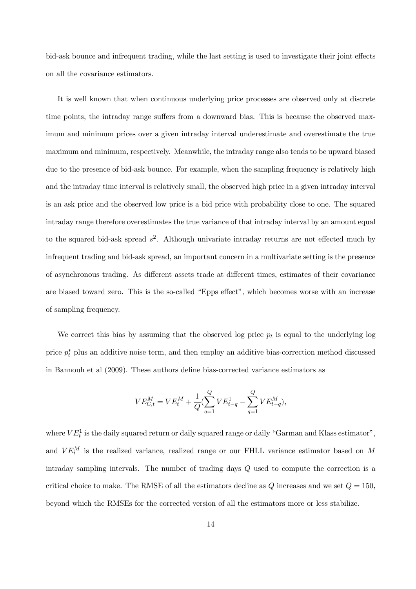bid-ask bounce and infrequent trading, while the last setting is used to investigate their joint effects on all the covariance estimators.

It is well known that when continuous underlying price processes are observed only at discrete time points, the intraday range suffers from a downward bias. This is because the observed maximum and minimum prices over a given intraday interval underestimate and overestimate the true maximum and minimum, respectively. Meanwhile, the intraday range also tends to be upward biased due to the presence of bid-ask bounce. For example, when the sampling frequency is relatively high and the intraday time interval is relatively small, the observed high price in a given intraday interval is an ask price and the observed low price is a bid price with probability close to one. The squared intraday range therefore overestimates the true variance of that intraday interval by an amount equal to the squared bid-ask spread  $s^2$ . Although univariate intraday returns are not effected much by infrequent trading and bid-ask spread, an important concern in a multivariate setting is the presence of asynchronous trading. As different assets trade at different times, estimates of their covariance are biased toward zero. This is the so-called "Epps effect", which becomes worse with an increase of sampling frequency.

We correct this bias by assuming that the observed log price  $p_t$  is equal to the underlying log price  $p_t^*$  plus an additive noise term, and then employ an additive bias-correction method discussed in Bannouh et al (2009). These authors define bias-corrected variance estimators as

$$
VE_{C,t}^M = VE_t^M + \frac{1}{Q} (\sum_{q=1}^Q VE_{t-q}^1 - \sum_{q=1}^Q VE_{t-q}^M),
$$

where  $VE_t^1$  is the daily squared return or daily squared range or daily "Garman and Klass estimator", and  $VE^{M}_{t}$  is the realized variance, realized range or our FHLL variance estimator based on M intraday sampling intervals. The number of trading days Q used to compute the correction is a critical choice to make. The RMSE of all the estimators decline as  $Q$  increases and we set  $Q = 150$ , beyond which the RMSEs for the corrected version of all the estimators more or less stabilize.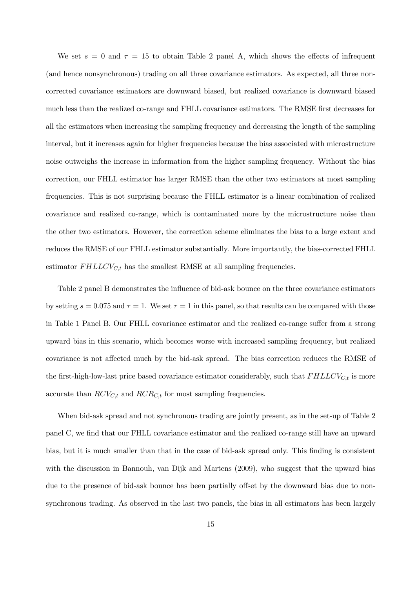We set  $s = 0$  and  $\tau = 15$  to obtain Table 2 panel A, which shows the effects of infrequent (and hence nonsynchronous) trading on all three covariance estimators. As expected, all three noncorrected covariance estimators are downward biased, but realized covariance is downward biased much less than the realized co-range and FHLL covariance estimators. The RMSE first decreases for all the estimators when increasing the sampling frequency and decreasing the length of the sampling interval, but it increases again for higher frequencies because the bias associated with microstructure noise outweighs the increase in information from the higher sampling frequency. Without the bias correction, our FHLL estimator has larger RMSE than the other two estimators at most sampling frequencies. This is not surprising because the FHLL estimator is a linear combination of realized covariance and realized co-range, which is contaminated more by the microstructure noise than the other two estimators. However, the correction scheme eliminates the bias to a large extent and reduces the RMSE of our FHLL estimator substantially. More importantly, the bias-corrected FHLL estimator  $FHLLCV_{C,t}$  has the smallest RMSE at all sampling frequencies.

Table 2 panel B demonstrates the influence of bid-ask bounce on the three covariance estimators by setting  $s = 0.075$  and  $\tau = 1$ . We set  $\tau = 1$  in this panel, so that results can be compared with those in Table 1 Panel B. Our FHLL covariance estimator and the realized co-range suffer from a strong upward bias in this scenario, which becomes worse with increased sampling frequency, but realized covariance is not affected much by the bid-ask spread. The bias correction reduces the RMSE of the first-high-low-last price based covariance estimator considerably, such that  $FHLLCV_{C,t}$  is more accurate than  $RCV_{C,t}$  and  $RCR_{C,t}$  for most sampling frequencies.

When bid-ask spread and not synchronous trading are jointly present, as in the set-up of Table 2 panel C, we find that our FHLL covariance estimator and the realized co-range still have an upward bias, but it is much smaller than that in the case of bid-ask spread only. This finding is consistent with the discussion in Bannouh, van Dijk and Martens (2009), who suggest that the upward bias due to the presence of bid-ask bounce has been partially offset by the downward bias due to nonsynchronous trading. As observed in the last two panels, the bias in all estimators has been largely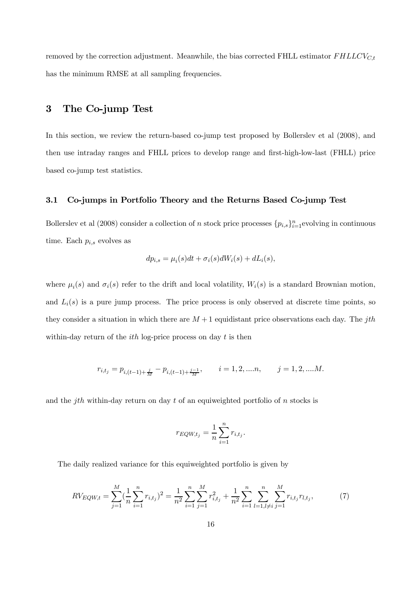removed by the correction adjustment. Meanwhile, the bias corrected FHLL estimator  $FHLLCV_{C,t}$ has the minimum RMSE at all sampling frequencies.

## 3 The Co-jump Test

In this section, we review the return-based co-jump test proposed by Bollerslev et al (2008), and then use intraday ranges and FHLL prices to develop range and first-high-low-last (FHLL) price based co-jump test statistics.

## 3.1 Co-jumps in Portfolio Theory and the Returns Based Co-jump Test

Bollerslev et al (2008) consider a collection of n stock price processes  $\{p_{i,s}\}_{i=1}^n$  evolving in continuous time. Each  $p_{i,s}$  evolves as

$$
dp_{i,s} = \mu_i(s)dt + \sigma_i(s)dW_i(s) + dL_i(s),
$$

where  $\mu_i(s)$  and  $\sigma_i(s)$  refer to the drift and local volatility,  $W_i(s)$  is a standard Brownian motion, and  $L_i(s)$  is a pure jump process. The price process is only observed at discrete time points, so they consider a situation in which there are  $M + 1$  equidistant price observations each day. The jth within-day return of the *ith* log-price process on day  $t$  is then

$$
r_{i,t_j} = p_{i,(t-1)+\frac{j}{M}} - p_{i,(t-1)+\frac{j-1}{M}}, \qquad i = 1,2,....n, \qquad j = 1,2,....M.
$$

and the jth within-day return on day  $t$  of an equiweighted portfolio of  $n$  stocks is

$$
r_{EQW,t_j} = \frac{1}{n} \sum_{i=1}^{n} r_{i,t_j}.
$$

The daily realized variance for this equiweighted portfolio is given by

$$
RV_{EQW,t} = \sum_{j=1}^{M} \left(\frac{1}{n} \sum_{i=1}^{n} r_{i,t_j}\right)^2 = \frac{1}{n^2} \sum_{i=1}^{n} \sum_{j=1}^{M} r_{i,t_j}^2 + \frac{1}{n^2} \sum_{i=1}^{n} \sum_{l=1, l \neq i}^{n} \sum_{j=1}^{M} r_{i,t_j} r_{l,t_j},\tag{7}
$$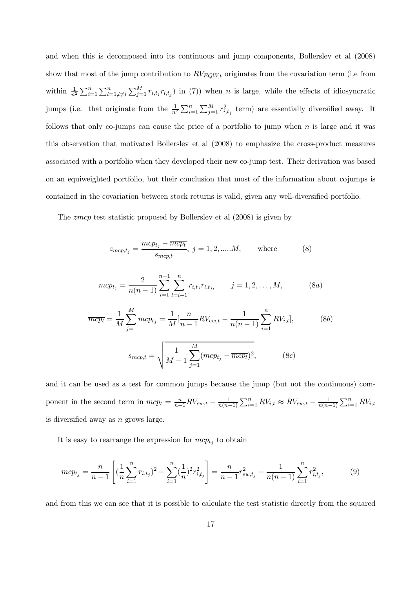and when this is decomposed into its continuous and jump components, Bollerslev et al (2008) show that most of the jump contribution to  $RV_{EQW,t}$  originates from the covariation term (i.e from within  $\frac{1}{n^2} \sum_{i=1}^n \sum_{l=1, l \neq i}^n \sum_{j=1}^M r_{i,t_j} r_{l,t_j}$  in (7)) when n is large, while the effects of idiosyncratic jumps (i.e. that originate from the  $\frac{1}{n^2} \sum_{i=1}^n \sum_{j=1}^M r_{i,t_j}^2$  term) are essentially diversified away. It follows that only co-jumps can cause the price of a portfolio to jump when  $n$  is large and it was this observation that motivated Bollerslev et al (2008) to emphasize the cross-product measures associated with a portfolio when they developed their new co-jump test. Their derivation was based on an equiweighted portfolio, but their conclusion that most of the information about cojumps is contained in the covariation between stock returns is valid, given any well-diversified portfolio.

The zmcp test statistic proposed by Bollerslev et al (2008) is given by

$$
z_{mcp,t_j} = \frac{mcp_{t_j} - \overline{mcp_t}}{s_{mcp,t}}, \ j = 1, 2, \dots M, \quad \text{where} \quad (8)
$$

$$
mc p_{t_j} = \frac{2}{n(n-1)} \sum_{i=1}^{n-1} \sum_{l=i+1}^{n} r_{i,t_j} r_{l,t_j}, \qquad j = 1, 2, ..., M,
$$
 (8a)

$$
\overline{mcp_t} = \frac{1}{M} \sum_{j=1}^{M} mcp_{t_j} = \frac{1}{M} \left[ \frac{n}{n-1} R V_{ew,t} - \frac{1}{n(n-1)} \sum_{i=1}^{n} R V_{i,t} \right],
$$
\n
$$
s_{mcp,t} = \sqrt{\frac{1}{M-1} \sum_{j=1}^{M} (mcp_{t_j} - \overline{mcp_t})^2},
$$
\n(8c)

and it can be used as a test for common jumps because the jump (but not the continuous) component in the second term in  $mcp_t = \frac{n}{n-1}RV_{ew,t} - \frac{1}{n(n-1)} \sum_{i=1}^n RV_{i,t} \approx RV_{ew,t} - \frac{1}{n(n-1)} \sum_{i=1}^n RV_{i,t}$ is diversified away as  $n$  grows large.

It is easy to rearrange the expression for  $mcp_{t_i}$  to obtain

$$
mc p_{t_j} = \frac{n}{n-1} \left[ \left( \frac{1}{n} \sum_{i=1}^n r_{i,t_j} \right)^2 - \sum_{i=1}^n \left( \frac{1}{n} \right)^2 r_{i,t_j}^2 \right] = \frac{n}{n-1} r_{ew,t_j}^2 - \frac{1}{n(n-1)} \sum_{i=1}^n r_{i,t_j}^2,
$$
(9)

and from this we can see that it is possible to calculate the test statistic directly from the squared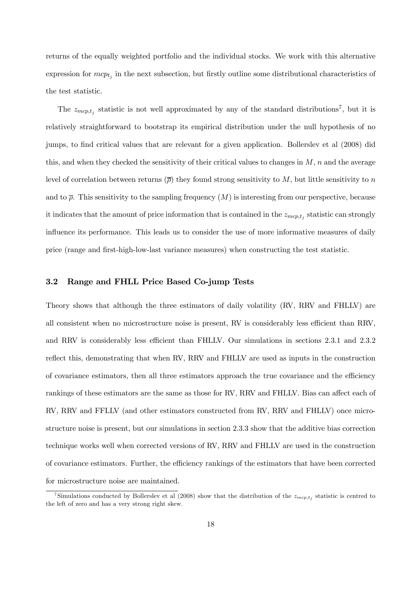returns of the equally weighted portfolio and the individual stocks. We work with this alternative expression for  $mcp_{t_i}$  in the next subsection, but firstly outline some distributional characteristics of the test statistic.

The  $z_{mcp,t_j}$  statistic is not well approximated by any of the standard distributions<sup>7</sup>, but it is relatively straightforward to bootstrap its empirical distribution under the null hypothesis of no jumps, to find critical values that are relevant for a given application. Bollerslev et al (2008) did this, and when they checked the sensitivity of their critical values to changes in  $M$ ,  $n$  and the average level of correlation between returns  $(\bar{\rho})$  they found strong sensitivity to M, but little sensitivity to n and to  $\bar{\rho}$ . This sensitivity to the sampling frequency  $(M)$  is interesting from our perspective, because it indicates that the amount of price information that is contained in the  $z_{mcp,t_i}$  statistic can strongly influence its performance. This leads us to consider the use of more informative measures of daily price (range and first-high-low-last variance measures) when constructing the test statistic.

## 3.2 Range and FHLL Price Based Co-jump Tests

Theory shows that although the three estimators of daily volatility (RV, RRV and FHLLV) are all consistent when no microstructure noise is present, RV is considerably less efficient than RRV, and RRV is considerably less efficient than FHLLV. Our simulations in sections 2.3.1 and 2.3.2 reflect this, demonstrating that when RV, RRV and FHLLV are used as inputs in the construction of covariance estimators, then all three estimators approach the true covariance and the efficiency rankings of these estimators are the same as those for RV, RRV and FHLLV. Bias can affect each of RV, RRV and FFLLV (and other estimators constructed from RV, RRV and FHLLV) once microstructure noise is present, but our simulations in section 2.3.3 show that the additive bias correction technique works well when corrected versions of RV, RRV and FHLLV are used in the construction of covariance estimators. Further, the efficiency rankings of the estimators that have been corrected for microstructure noise are maintained.

<sup>&</sup>lt;sup>7</sup>Simulations conducted by Bollerslev et al (2008) show that the distribution of the  $z_{mcp,t_j}$  statistic is centred to the left of zero and has a very strong right skew.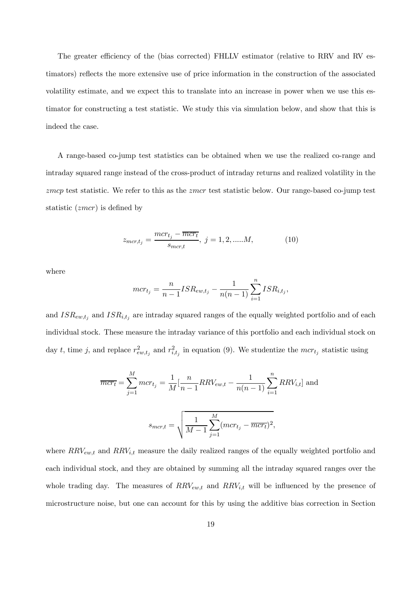The greater efficiency of the (bias corrected) FHLLV estimator (relative to RRV and RV estimators) reflects the more extensive use of price information in the construction of the associated volatility estimate, and we expect this to translate into an increase in power when we use this estimator for constructing a test statistic. We study this via simulation below, and show that this is indeed the case.

A range-based co-jump test statistics can be obtained when we use the realized co-range and intraday squared range instead of the cross-product of intraday returns and realized volatility in the zmcp test statistic. We refer to this as the zmcr test statistic below. Our range-based co-jump test statistic (zmcr) is defined by

$$
z_{mcr,t_j} = \frac{mcr_{t_j} - \overline{mcr_t}}{s_{mcr,t}}, \ j = 1, 2, \dots M,
$$
 (10)

where

$$
mcr_{t_j} = \frac{n}{n-1} ISR_{ew,t_j} - \frac{1}{n(n-1)}\sum_{i=1}^{n}ISR_{i,t_j},
$$

and  $ISR_{ew,t_j}$  and  $ISR_{i,t_j}$  are intraday squared ranges of the equally weighted portfolio and of each individual stock. These measure the intraday variance of this portfolio and each individual stock on day t, time j, and replace  $r_{ew,t_j}^2$  and  $r_{i,t_j}^2$  in equation (9). We studentize the mcr<sub>tj</sub> statistic using

$$
\overline{mcr_t} = \sum_{j=1}^{M} mcr_{t_j} = \frac{1}{M} \left[ \frac{n}{n-1} RRV_{ew,t} - \frac{1}{n(n-1)} \sum_{i=1}^{n} RRV_{i,t} \right] \text{ and}
$$

$$
s_{mcr,t} = \sqrt{\frac{1}{M-1} \sum_{j=1}^{M} (mcr_{t_j} - \overline{mcr_t})^2},
$$

where  $RRV_{ew,t}$  and  $RRV_{i,t}$  measure the daily realized ranges of the equally weighted portfolio and each individual stock, and they are obtained by summing all the intraday squared ranges over the whole trading day. The measures of  $RRV_{ew,t}$  and  $RRV_{i,t}$  will be influenced by the presence of microstructure noise, but one can account for this by using the additive bias correction in Section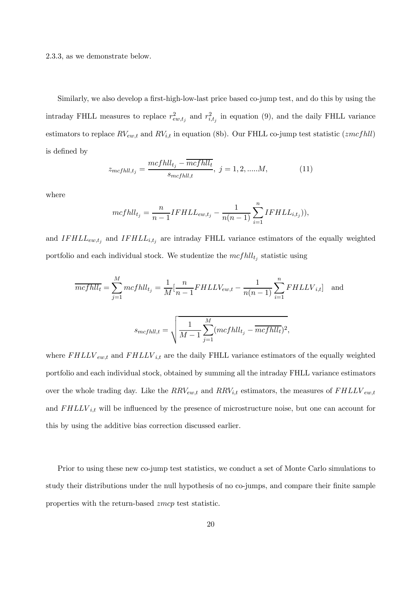2.3.3, as we demonstrate below.

Similarly, we also develop a first-high-low-last price based co-jump test, and do this by using the intraday FHLL measures to replace  $r_{ew,t_j}^2$  and  $r_{i,t_j}^2$  in equation (9), and the daily FHLL variance estimators to replace  $RV_{ew,t}$  and  $RV_{i,t}$  in equation (8b). Our FHLL co-jump test statistic (*zmcfhll*) is defined by

$$
z_{mcfhll,t_j} = \frac{mcfhll_{t_j} - \overline{mcfhll_t}}{s_{mcfhll,t}}, \ j = 1, 2, \dots M,
$$
 (11)

where

$$
mcfhll_{t_j} = \frac{n}{n-1}IFHLL_{ew,t_j} - \frac{1}{n(n-1)}\sum_{i=1}^{n}IFHLL_{i,t_j}),
$$

and  $IFHLL_{ew,t_j}$  and  $IFHLL_{i,t_j}$  are intraday FHLL variance estimators of the equally weighted portfolio and each individual stock. We studentize the  $mcf\ell l_{t_i}$  statistic using

$$
\overline{mcfhll_t} = \sum_{j=1}^{M} mcfhll_{t_j} = \frac{1}{M} \left[ \frac{n}{n-1} FHLL V_{ew,t} - \frac{1}{n(n-1)} \sum_{i=1}^{n} FHLL V_{i,t} \right] \text{ and}
$$

$$
s_{mcfhll_t} = \sqrt{\frac{1}{M-1} \sum_{j=1}^{M} (mcfhll_{t_j} - \overline{mcfhll_t})^2},
$$

where  $FHLLV_{ew,t}$  and  $FHLLV_{i,t}$  are the daily FHLL variance estimators of the equally weighted portfolio and each individual stock, obtained by summing all the intraday FHLL variance estimators over the whole trading day. Like the  $RRV_{ew,t}$  and  $RRV_{i,t}$  estimators, the measures of  $FHLLV_{ew,t}$ and  $FHLLV_{i,t}$  will be influenced by the presence of microstructure noise, but one can account for this by using the additive bias correction discussed earlier.

Prior to using these new co-jump test statistics, we conduct a set of Monte Carlo simulations to study their distributions under the null hypothesis of no co-jumps, and compare their finite sample properties with the return-based zmcp test statistic.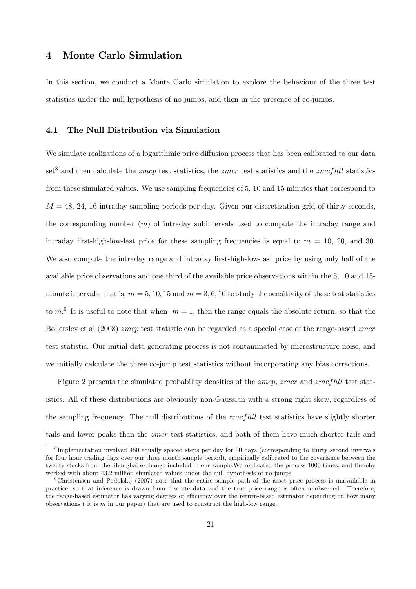## 4 Monte Carlo Simulation

In this section, we conduct a Monte Carlo simulation to explore the behaviour of the three test statistics under the null hypothesis of no jumps, and then in the presence of co-jumps.

## 4.1 The Null Distribution via Simulation

We simulate realizations of a logarithmic price diffusion process that has been calibrated to our data set<sup>8</sup> and then calculate the *zmcp* test statistics, the *zmcr* test statistics and the *zmcfhll* statistics from these simulated values. We use sampling frequencies of 5, 10 and 15 minutes that correspond to  $M = 48, 24, 16$  intraday sampling periods per day. Given our discretization grid of thirty seconds, the corresponding number (m) of intraday subintervals used to compute the intraday range and intraday first-high-low-last price for these sampling frequencies is equal to  $m = 10, 20,$  and 30. We also compute the intraday range and intraday first-high-low-last price by using only half of the available price observations and one third of the available price observations within the 5, 10 and 15 minute intervals, that is,  $m = 5, 10, 15$  and  $m = 3, 6, 10$  to study the sensitivity of these test statistics to  $m<sup>9</sup>$  It is useful to note that when  $m = 1$ , then the range equals the absolute return, so that the Bollerslev et al (2008) zmcp test statistic can be regarded as a special case of the range-based zmcr test statistic. Our initial data generating process is not contaminated by microstructure noise, and we initially calculate the three co-jump test statistics without incorporating any bias corrections.

Figure 2 presents the simulated probability densities of the *zmcp*, *zmcr* and *zmcfhll* test statistics. All of these distributions are obviously non-Gaussian with a strong right skew, regardless of the sampling frequency. The null distributions of the  $zmcf\hbar ll$  test statistics have slightly shorter tails and lower peaks than the *zmcr* test statistics, and both of them have much shorter tails and

<sup>&</sup>lt;sup>8</sup>Implementation involved 480 equally spaced steps per day for 90 days (corresponding to thirty second invervals for four hour trading days over our three month sample period), empirically calibrated to the covariance between the twenty stocks from the Shanghai exchange included in our sample. We replicated the process 1000 times, and thereby worked with about 43.2 million simulated values under the null hypothesis of no jumps.

<sup>9</sup>Christensen and Podolskij (2007) note that the entire sample path of the asset price process is unavailable in practice, so that inference is drawn from discrete data and the true price range is often unobserved. Therefore, the range-based estimator has varying degrees of efficiency over the return-based estimator depending on how many observations (it is  $m$  in our paper) that are used to construct the high-low range.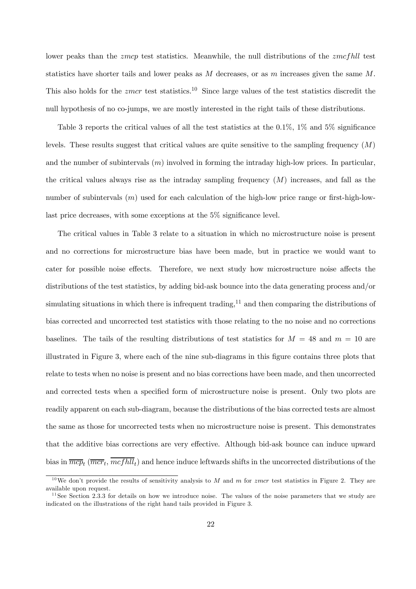lower peaks than the *zmcp* test statistics. Meanwhile, the null distributions of the *zmcfhll* test statistics have shorter tails and lower peaks as  $M$  decreases, or as  $m$  increases given the same  $M$ . This also holds for the *zmcr* test statistics.<sup>10</sup> Since large values of the test statistics discredit the null hypothesis of no co-jumps, we are mostly interested in the right tails of these distributions.

Table 3 reports the critical values of all the test statistics at the  $0.1\%$ ,  $1\%$  and  $5\%$  significance levels. These results suggest that critical values are quite sensitive to the sampling frequency  $(M)$ and the number of subintervals  $(m)$  involved in forming the intraday high-low prices. In particular, the critical values always rise as the intraday sampling frequency  $(M)$  increases, and fall as the number of subintervals  $(m)$  used for each calculation of the high-low price range or first-high-lowlast price decreases, with some exceptions at the 5% significance level.

The critical values in Table 3 relate to a situation in which no microstructure noise is present and no corrections for microstructure bias have been made, but in practice we would want to cater for possible noise effects. Therefore, we next study how microstructure noise affects the distributions of the test statistics, by adding bid-ask bounce into the data generating process and/or simulating situations in which there is infrequent trading, $11$  and then comparing the distributions of bias corrected and uncorrected test statistics with those relating to the no noise and no corrections baselines. The tails of the resulting distributions of test statistics for  $M = 48$  and  $m = 10$  are illustrated in Figure 3, where each of the nine sub-diagrams in this figure contains three plots that relate to tests when no noise is present and no bias corrections have been made, and then uncorrected and corrected tests when a specified form of microstructure noise is present. Only two plots are readily apparent on each sub-diagram, because the distributions of the bias corrected tests are almost the same as those for uncorrected tests when no microstructure noise is present. This demonstrates that the additive bias corrections are very effective. Although bid-ask bounce can induce upward bias in  $\overline{mcp_t}$  ( $\overline{mcr_t}$ ,  $\overline{mcfhll_t}$ ) and hence induce leftwards shifts in the uncorrected distributions of the

<sup>&</sup>lt;sup>10</sup>We don't provide the results of sensitivity analysis to M and m for zmcr test statistics in Figure 2. They are available upon request.

 $11$  See Section 2.3.3 for details on how we introduce noise. The values of the noise parameters that we study are indicated on the illustrations of the right hand tails provided in Figure 3.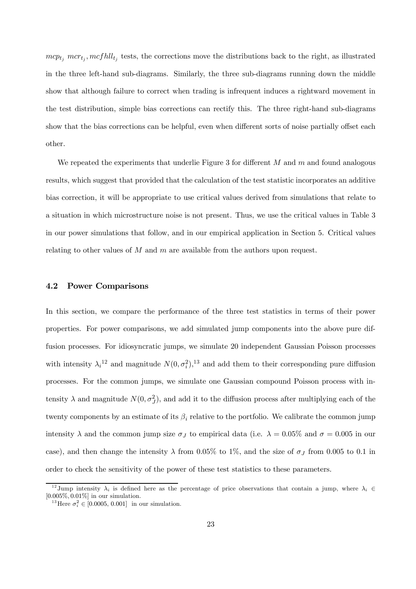$mcp_{t_j}$  mcr<sub>tj</sub>, mcfhll<sub>tj</sub> tests, the corrections move the distributions back to the right, as illustrated in the three left-hand sub-diagrams. Similarly, the three sub-diagrams running down the middle show that although failure to correct when trading is infrequent induces a rightward movement in the test distribution, simple bias corrections can rectify this. The three right-hand sub-diagrams show that the bias corrections can be helpful, even when different sorts of noise partially offset each other.

We repeated the experiments that underlie Figure 3 for different  $M$  and  $m$  and found analogous results, which suggest that provided that the calculation of the test statistic incorporates an additive bias correction, it will be appropriate to use critical values derived from simulations that relate to a situation in which microstructure noise is not present. Thus, we use the critical values in Table 3 in our power simulations that follow, and in our empirical application in Section 5. Critical values relating to other values of  $M$  and  $m$  are available from the authors upon request.

## 4.2 Power Comparisons

In this section, we compare the performance of the three test statistics in terms of their power properties. For power comparisons, we add simulated jump components into the above pure diffusion processes. For idiosyncratic jumps, we simulate 20 independent Gaussian Poisson processes with intensity  $\lambda_i^{12}$  and magnitude  $N(0, \sigma_i^2)$ ,<sup>13</sup> and add them to their corresponding pure diffusion processes. For the common jumps, we simulate one Gaussian compound Poisson process with intensity  $\lambda$  and magnitude  $N(0, \sigma_j^2)$ , and add it to the diffusion process after multiplying each of the twenty components by an estimate of its  $\beta_i$  relative to the portfolio. We calibrate the common jump intensity  $\lambda$  and the common jump size  $\sigma_J$  to empirical data (i.e.  $\lambda = 0.05\%$  and  $\sigma = 0.005$  in our case), and then change the intensity  $\lambda$  from 0.05% to 1%, and the size of  $\sigma_J$  from 0.005 to 0.1 in order to check the sensitivity of the power of these test statistics to these parameters.

<sup>&</sup>lt;sup>12</sup>Jump intensity  $\lambda_i$  is defined here as the percentage of price observations that contain a jump, where  $\lambda_i \in$ [0.005%, 0.01%] in our simulation.

<sup>&</sup>lt;sup>13</sup>Here  $\sigma_i^2 \in [0.0005, 0.001]$  in our simulation.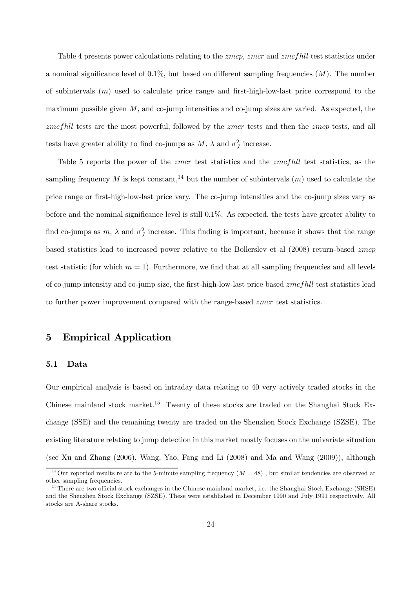Table 4 presents power calculations relating to the *zmcp*, *zmcr* and *zmcfhll* test statistics under a nominal significance level of  $0.1\%$ , but based on different sampling frequencies  $(M)$ . The number of subintervals (m) used to calculate price range and first-high-low-last price correspond to the maximum possible given  $M$ , and co-jump intensities and co-jump sizes are varied. As expected, the zmcfhll tests are the most powerful, followed by the zmcr tests and then the zmcp tests, and all tests have greater ability to find co-jumps as  $M$ ,  $\lambda$  and  $\sigma_J^2$  increase.

Table 5 reports the power of the *zmcr* test statistics and the *zmcfhll* test statistics, as the sampling frequency M is kept constant,<sup>14</sup> but the number of subintervals  $(m)$  used to calculate the price range or first-high-low-last price vary. The co-jump intensities and the co-jump sizes vary as before and the nominal significance level is still 0.1%. As expected, the tests have greater ability to find co-jumps as  $m$ ,  $\lambda$  and  $\sigma_j^2$  increase. This finding is important, because it shows that the range based statistics lead to increased power relative to the Bollerslev et al (2008) return-based zmcp test statistic (for which  $m = 1$ ). Furthermore, we find that at all sampling frequencies and all levels of co-jump intensity and co-jump size, the first-high-low-last price based  $zmcfull$  test statistics lead to further power improvement compared with the range-based zmcr test statistics.

## 5 Empirical Application

#### 5.1 Data

Our empirical analysis is based on intraday data relating to 40 very actively traded stocks in the Chinese mainland stock market.15 Twenty of these stocks are traded on the Shanghai Stock Exchange (SSE) and the remaining twenty are traded on the Shenzhen Stock Exchange (SZSE). The existing literature relating to jump detection in this market mostly focuses on the univariate situation (see Xu and Zhang (2006), Wang, Yao, Fang and Li (2008) and Ma and Wang (2009)), although

<sup>&</sup>lt;sup>14</sup>Our reported results relate to the 5-minute sampling frequency  $(M = 48)$ , but similar tendencies are observed at other sampling frequencies.

<sup>&</sup>lt;sup>15</sup>There are two official stock exchanges in the Chinese mainland market, i.e. the Shanghai Stock Exchange (SHSE) and the Shenzhen Stock Exchange (SZSE). These were established in December 1990 and July 1991 respectively. All stocks are A-share stocks.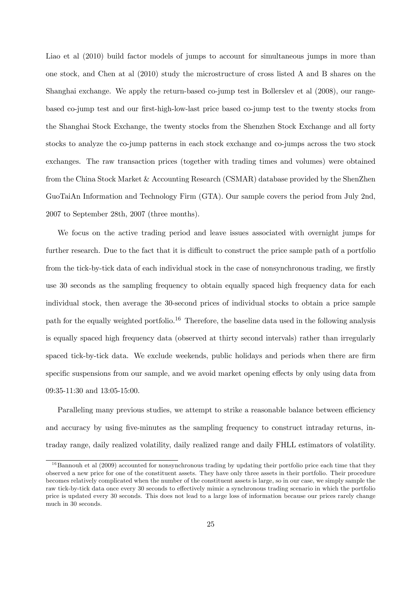Liao et al (2010) build factor models of jumps to account for simultaneous jumps in more than one stock, and Chen at al (2010) study the microstructure of cross listed A and B shares on the Shanghai exchange. We apply the return-based co-jump test in Bollerslev et al (2008), our rangebased co-jump test and our first-high-low-last price based co-jump test to the twenty stocks from the Shanghai Stock Exchange, the twenty stocks from the Shenzhen Stock Exchange and all forty stocks to analyze the co-jump patterns in each stock exchange and co-jumps across the two stock exchanges. The raw transaction prices (together with trading times and volumes) were obtained from the China Stock Market & Accounting Research (CSMAR) database provided by the ShenZhen GuoTaiAn Information and Technology Firm (GTA). Our sample covers the period from July 2nd, 2007 to September 28th, 2007 (three months).

We focus on the active trading period and leave issues associated with overnight jumps for further research. Due to the fact that it is difficult to construct the price sample path of a portfolio from the tick-by-tick data of each individual stock in the case of nonsynchronous trading, we firstly use 30 seconds as the sampling frequency to obtain equally spaced high frequency data for each individual stock, then average the 30-second prices of individual stocks to obtain a price sample path for the equally weighted portfolio.<sup>16</sup> Therefore, the baseline data used in the following analysis is equally spaced high frequency data (observed at thirty second intervals) rather than irregularly spaced tick-by-tick data. We exclude weekends, public holidays and periods when there are firm specific suspensions from our sample, and we avoid market opening effects by only using data from 09:35-11:30 and 13:05-15:00.

Paralleling many previous studies, we attempt to strike a reasonable balance between efficiency and accuracy by using five-minutes as the sampling frequency to construct intraday returns, intraday range, daily realized volatility, daily realized range and daily FHLL estimators of volatility.

 $16$ Bannouh et al (2009) accounted for nonsynchronous trading by updating their portfolio price each time that they observed a new price for one of the constituent assets. They have only three assets in their portfolio. Their procedure becomes relatively complicated when the number of the constituent assets is large, so in our case, we simply sample the raw tick-by-tick data once every 30 seconds to effectively mimic a synchronous trading scenario in which the portfolio price is updated every 30 seconds. This does not lead to a large loss of information because our prices rarely change much in 30 seconds.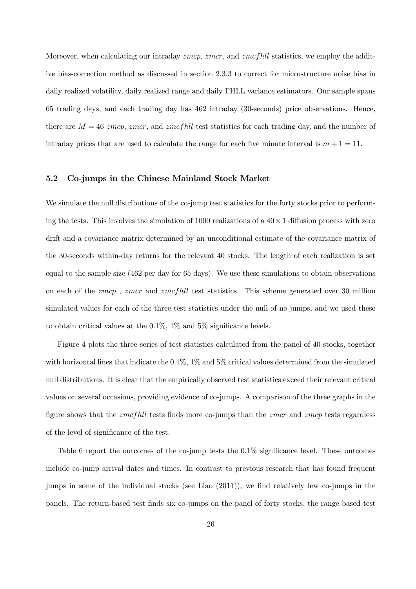Moreover, when calculating our intraday *zmcp*, *zmcr*, and *zmcfhll* statistics, we employ the additive bias-correction method as discussed in section 2.3.3 to correct for microstructure noise bias in daily realized volatility, daily realized range and daily FHLL variance estimators. Our sample spans 65 trading days, and each trading day has 462 intraday (30-seconds) price observations. Hence, there are  $M = 46$  zmcp, zmcr, and zmcfhll test statistics for each trading day, and the number of intraday prices that are used to calculate the range for each five minute interval is  $m + 1 = 11$ .

#### 5.2 Co-jumps in the Chinese Mainland Stock Market

We simulate the null distributions of the co-jump test statistics for the forty stocks prior to performing the tests. This involves the simulation of 1000 realizations of a  $40 \times 1$  diffusion process with zero drift and a covariance matrix determined by an unconditional estimate of the covariance matrix of the 30-seconds within-day returns for the relevant 40 stocks. The length of each realization is set equal to the sample size (462 per day for 65 days). We use these simulations to obtain observations on each of the *zmcp*, *zmcr* and *zmcfhll* test statistics. This scheme generated over 30 million simulated values for each of the three test statistics under the null of no jumps, and we used these to obtain critical values at the  $0.1\%$ ,  $1\%$  and  $5\%$  significance levels.

Figure 4 plots the three series of test statistics calculated from the panel of 40 stocks, together with horizontal lines that indicate the  $0.1\%$ ,  $1\%$  and  $5\%$  critical values determined from the simulated null distributions. It is clear that the empirically observed test statistics exceed their relevant critical values on several occasions, providing evidence of co-jumps. A comparison of the three graphs in the figure shows that the  $zmcfhl$  tests finds more co-jumps than the  $zmcr$  and  $zmcp$  tests regardless of the level of significance of the test.

Table 6 report the outcomes of the co-jump tests the  $0.1\%$  significance level. These outcomes include co-jump arrival dates and times. In contrast to previous research that has found frequent jumps in some of the individual stocks (see Liao (2011)), we find relatively few co-jumps in the panels. The return-based test finds six co-jumps on the panel of forty stocks, the range based test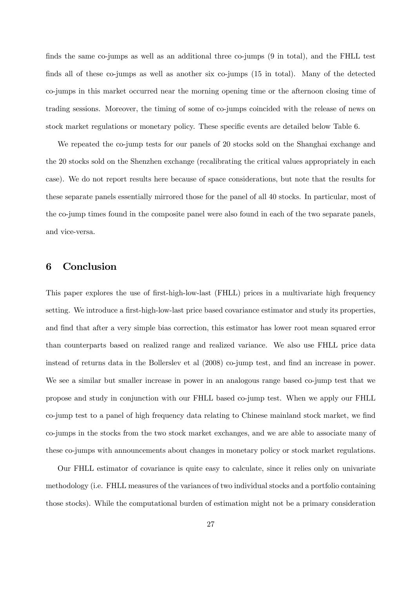finds the same co-jumps as well as an additional three co-jumps (9 in total), and the FHLL test finds all of these co-jumps as well as another six co-jumps (15 in total). Many of the detected co-jumps in this market occurred near the morning opening time or the afternoon closing time of trading sessions. Moreover, the timing of some of co-jumps coincided with the release of news on stock market regulations or monetary policy. These specific events are detailed below Table 6.

We repeated the co-jump tests for our panels of 20 stocks sold on the Shanghai exchange and the 20 stocks sold on the Shenzhen exchange (recalibrating the critical values appropriately in each case). We do not report results here because of space considerations, but note that the results for these separate panels essentially mirrored those for the panel of all 40 stocks. In particular, most of the co-jump times found in the composite panel were also found in each of the two separate panels, and vice-versa.

## 6 Conclusion

This paper explores the use of first-high-low-last (FHLL) prices in a multivariate high frequency setting. We introduce a first-high-low-last price based covariance estimator and study its properties, and find that after a very simple bias correction, this estimator has lower root mean squared error than counterparts based on realized range and realized variance. We also use FHLL price data instead of returns data in the Bollerslev et al (2008) co-jump test, and find an increase in power. We see a similar but smaller increase in power in an analogous range based co-jump test that we propose and study in conjunction with our FHLL based co-jump test. When we apply our FHLL co-jump test to a panel of high frequency data relating to Chinese mainland stock market, we find co-jumps in the stocks from the two stock market exchanges, and we are able to associate many of these co-jumps with announcements about changes in monetary policy or stock market regulations.

Our FHLL estimator of covariance is quite easy to calculate, since it relies only on univariate methodology (i.e. FHLL measures of the variances of two individual stocks and a portfolio containing those stocks). While the computational burden of estimation might not be a primary consideration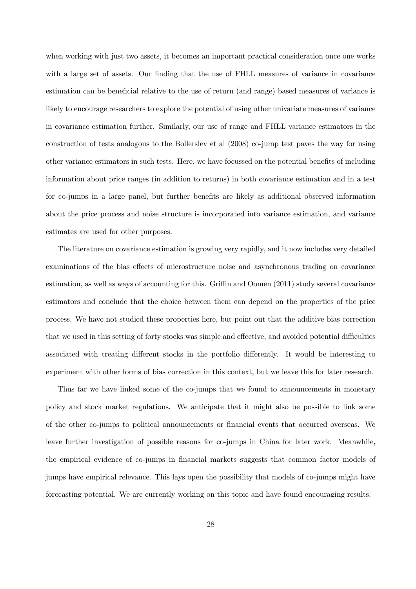when working with just two assets, it becomes an important practical consideration once one works with a large set of assets. Our finding that the use of FHLL measures of variance in covariance estimation can be beneficial relative to the use of return (and range) based measures of variance is likely to encourage researchers to explore the potential of using other univariate measures of variance in covariance estimation further. Similarly, our use of range and FHLL variance estimators in the construction of tests analogous to the Bollerslev et al (2008) co-jump test paves the way for using other variance estimators in such tests. Here, we have focussed on the potential benefits of including information about price ranges (in addition to returns) in both covariance estimation and in a test for co-jumps in a large panel, but further benefits are likely as additional observed information about the price process and noise structure is incorporated into variance estimation, and variance estimates are used for other purposes.

The literature on covariance estimation is growing very rapidly, and it now includes very detailed examinations of the bias effects of microstructure noise and asynchronous trading on covariance estimation, as well as ways of accounting for this. Griffin and Oomen (2011) study several covariance estimators and conclude that the choice between them can depend on the properties of the price process. We have not studied these properties here, but point out that the additive bias correction that we used in this setting of forty stocks was simple and effective, and avoided potential difficulties associated with treating different stocks in the portfolio differently. It would be interesting to experiment with other forms of bias correction in this context, but we leave this for later research.

Thus far we have linked some of the co-jumps that we found to announcements in monetary policy and stock market regulations. We anticipate that it might also be possible to link some of the other co-jumps to political announcements or financial events that occurred overseas. We leave further investigation of possible reasons for co-jumps in China for later work. Meanwhile, the empirical evidence of co-jumps in financial markets suggests that common factor models of jumps have empirical relevance. This lays open the possibility that models of co-jumps might have forecasting potential. We are currently working on this topic and have found encouraging results.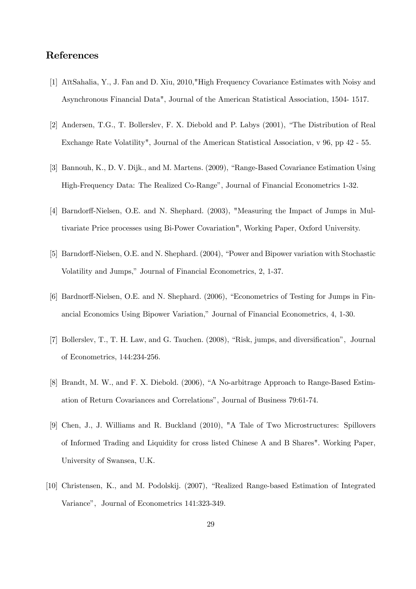## References

- [1] AïtSahalia, Y., J. Fan and D. Xiu, 2010,"High Frequency Covariance Estimates with Noisy and Asynchronous Financial Data", Journal of the American Statistical Association, 1504- 1517.
- [2] Andersen, T.G., T. Bollerslev, F. X. Diebold and P. Labys (2001), "The Distribution of Real Exchange Rate Volatility", Journal of the American Statistical Association, v 96, pp 42 - 55.
- [3] Bannouh, K., D. V. Dijk., and M. Martens. (2009), "Range-Based Covariance Estimation Using High-Frequency Data: The Realized Co-Range", Journal of Financial Econometrics 1-32.
- [4] Barndorff-Nielsen, O.E. and N. Shephard. (2003), "Measuring the Impact of Jumps in Multivariate Price processes using Bi-Power Covariation", Working Paper, Oxford University.
- [5] Barndorff-Nielsen, O.E. and N. Shephard. (2004), "Power and Bipower variation with Stochastic Volatility and Jumps," Journal of Financial Econometrics, 2, 1-37.
- [6] Bardnorff-Nielsen, O.E. and N. Shephard. (2006), "Econometrics of Testing for Jumps in Financial Economics Using Bipower Variation," Journal of Financial Econometrics, 4, 1-30.
- [7] Bollerslev, T., T. H. Law, and G. Tauchen. (2008), "Risk, jumps, and diversification", Journal of Econometrics, 144:234-256.
- [8] Brandt, M. W., and F. X. Diebold. (2006), "A No-arbitrage Approach to Range-Based Estimation of Return Covariances and Correlations", Journal of Business 79:61-74.
- [9] Chen, J., J. Williams and R. Buckland (2010), "A Tale of Two Microstructures: Spillovers of Informed Trading and Liquidity for cross listed Chinese A and B Shares". Working Paper, University of Swansea, U.K.
- [10] Christensen, K., and M. Podolskij. (2007), "Realized Range-based Estimation of Integrated Variance", Journal of Econometrics 141:323-349.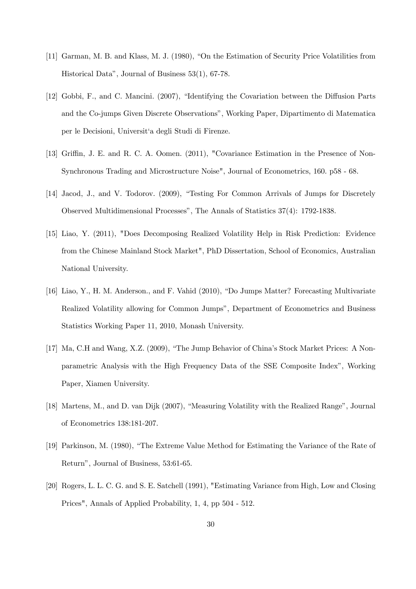- [11] Garman, M. B. and Klass, M. J. (1980), "On the Estimation of Security Price Volatilities from Historical Data", Journal of Business 53(1), 67-78.
- [12] Gobbi, F., and C. Mancini. (2007), "Identifying the Covariation between the Diffusion Parts and the Co-jumps Given Discrete Observations", Working Paper, Dipartimento di Matematica per le Decisioni, Universit'a degli Studi di Firenze.
- [13] Griffin, J. E. and R. C. A. Oomen. (2011), "Covariance Estimation in the Presence of Non-Synchronous Trading and Microstructure Noise", Journal of Econometrics, 160. p58 - 68.
- [14] Jacod, J., and V. Todorov. (2009), "Testing For Common Arrivals of Jumps for Discretely Observed Multidimensional Processes", The Annals of Statistics 37(4): 1792-1838.
- [15] Liao, Y. (2011), "Does Decomposing Realized Volatility Help in Risk Prediction: Evidence from the Chinese Mainland Stock Market", PhD Dissertation, School of Economics, Australian National University.
- [16] Liao, Y., H. M. Anderson., and F. Vahid (2010), "Do Jumps Matter? Forecasting Multivariate Realized Volatility allowing for Common Jumps", Department of Econometrics and Business Statistics Working Paper 11, 2010, Monash University.
- [17] Ma, C.H and Wang, X.Z. (2009), "The Jump Behavior of China's Stock Market Prices: A Nonparametric Analysis with the High Frequency Data of the SSE Composite Index", Working Paper, Xiamen University.
- [18] Martens, M., and D. van Dijk (2007), "Measuring Volatility with the Realized Range", Journal of Econometrics 138:181-207.
- [19] Parkinson, M. (1980), "The Extreme Value Method for Estimating the Variance of the Rate of Return", Journal of Business, 53:61-65.
- [20] Rogers, L. L. C. G. and S. E. Satchell (1991), "Estimating Variance from High, Low and Closing Prices", Annals of Applied Probability, 1, 4, pp 504 - 512.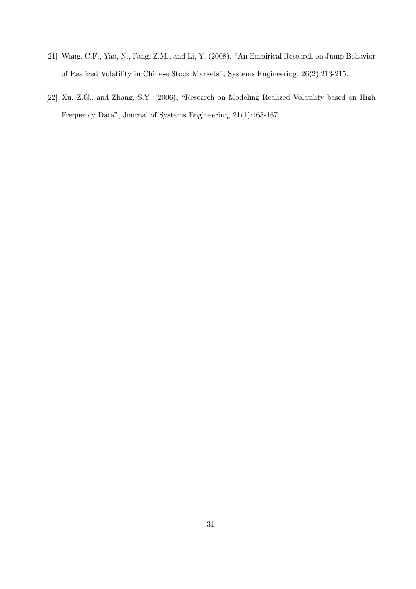- [21] Wang, C.F., Yao, N., Fang, Z.M., and Li, Y. (2008), "An Empirical Research on Jump Behavior of Realized Volatility in Chinese Stock Markets", Systems Engineering, 26(2):213-215.
- [22] Xu, Z.G., and Zhang, S.Y. (2006), "Research on Modeling Realized Volatility based on High Frequency Data", Journal of Systems Engineering, 21(1):165-167.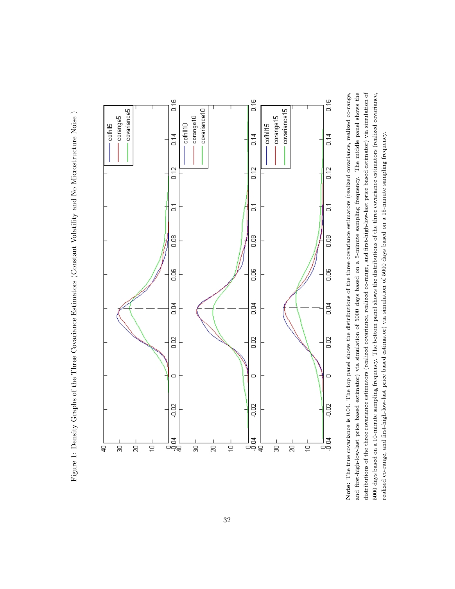Figure 1: Density Graphs of the Three Covariance Estimators (Constant Volatility and No Microstructure Noise ) Figure 1: Density Graphs of the Three Covariance Estimators (Constant Volatility and No Microstructure Noise)



and first-high-low-last price based estimator) via simulation of 5000 days based on a 5-minute sampling frequency. The middle panel shows the distributions of the three covariance estimators (realized covariance, realized co-range, and first-high-low-last price based estimator) via simulation of 5000 days based on a 10-minute sampling frequency. The bottom panel shows the distributions of the three covariance estimators (realized covariance, Note: The true covariance is 0.04. The top panel shows the distributions of the three covariance estimators (realized covariance, realized co-range, Note: The true covariance is 0.04. The top panel shows the distributions of the three covariance estimators (realized covariance, realized co-range, and first-high-low-last price based estimator) via simulation of 5000 days based on a 5-minute sampling frequency. The middle panel shows the distributions of the three covariance estimators (realized covariance, realized co-range, and first-high-low-last price based estimator) via simulation of 5000 days based on a 10-minute sampling frequency. The bottom panel shows the distributions of the three covariance estimators (realized covariance, realized co-range, and first-high-low-last price based estimator) via simulation of 5000 days based on a 15-minute sampling frequency. realized co-range, and first-high-low-last price based estimator) via simulation of 5000 days based on a 15-minute sampling frequency.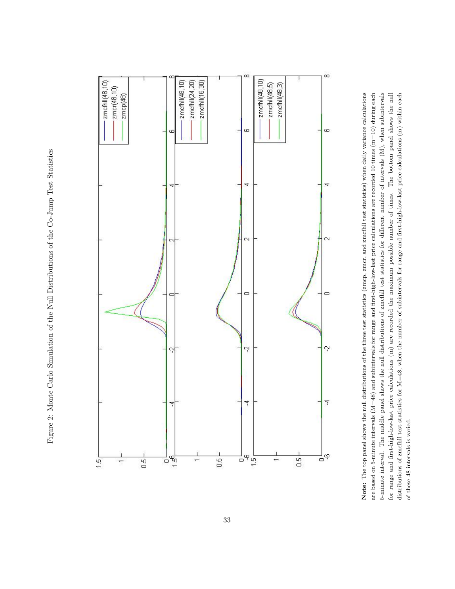Figure 2: Monte Carlo Simulation of the Null Distributions of the Co-Jump Test Statistics Figure 2: Monte Carlo Simulation of the Null Distributions of the Co-Jump Test Statistics



Note: The top panel shows the null distributions of the three test statistics (zmcp, zmcr, and zmcfhll test statistics) when daily variance calculations are based on 5-minute intervals ( $M=48$ ) and subintervals for range and first-high-low-last price calculations are recorded 10 times ( $m=10$ ) during each 5-minute interval. The middle panel shows the null distributions of zmcfhll test statistics for different number of intervals (M), when subintervals The bottom panel shows the null distributions of zmcfhll test statistics for  $M=48$ , when the number of subintervals for range and first-high-low-last price calculations  $(m)$  within each Note: The top panel shows the null distributions of the three test statistics (zmcp, zmcr, and zmcfhll test statistics) when daily variance calculations are based on 5-minute intervals (M=48) and subintervals for range and first-high-low-last price calculations are recorded 10 times (m=10) during each 5-minute interval. The middle panel shows the null distributions of zmcfhll test statistics for different number of intervals (M), when subintervals for range and first-high-low-last price calculations (m) are recorded the maximum possible number of times. The bottom panel shows the null distributions of zmcfhll test statistics for M=48, when the number of subintervals for range and first-high-low-last price calculations (m) within each for range and first-high-low-last price calculations (m) are recorded the maximum possible number of times. of these 48 intervals is varied. of these 48 intervals is varied.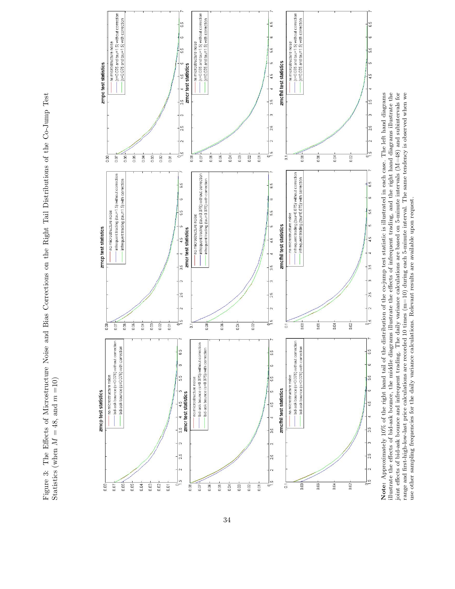Figure 3: The Effects of Microstructure Noise and Bias Corrections on the Right Tail Distributions of the Co-Jump Test Figure 3: The Effects of Microstructure Noise and Bias Corrections on the Right Tail Distributions of the Co-Jump Test =10) m $M = 48$ , and Statistics (when



illustrate the effects of bid-ask bounce, the middle diagrams illustrate the effects of infrequent trading, and the right hand diagrams illustrate the joint effects of bid-ask bounce and infrequent trading. The daily vari Note: Approximately 10% of the right hand tail of the distribution of the co-jump test statistic is illustrated in each case. The left hand diagrams range and first-high-low-last price calculations are recorded 10 times  $(m=10)$  during each 5-minute interval. The same tendency is observed when we Note: Approximately 10% of the right hand tail of the distribution of the co-jump test statistic is illustrated in each case. The left hand diagrams illustrate the effects of bid-ask bounce, the middle diagrams illustrate the effects of infrequent trading, and the right hand diagrams illustrate the joint effects of bid-ask bounce and infrequent trading. The daily variance calculations are based on 5-minute intervals (M=48) and subintervals for range and first-high-low-last price calculations are recorded 10 times (m=10) during each 5-minute interval. The same tendency is observed when we use other sampling frequencies for the daily variance calculations. Relevant results are available upon request. use other sampling frequencies for the daily variance calculations. Relevant results are available upon request.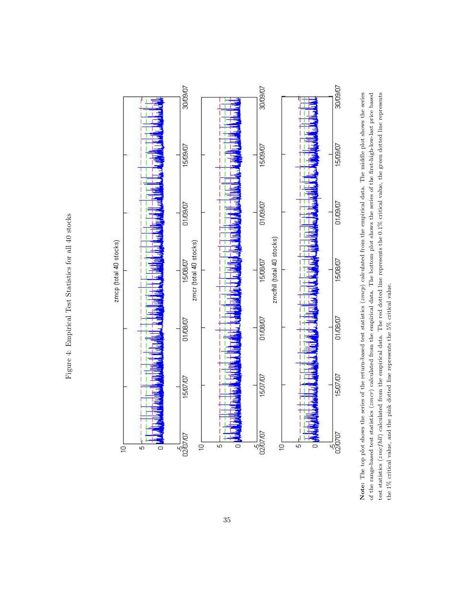Figure 4: Empirical Test Statistics for all 40 stocks Figure 4: Empirical Test Statistics for all 40 stocks



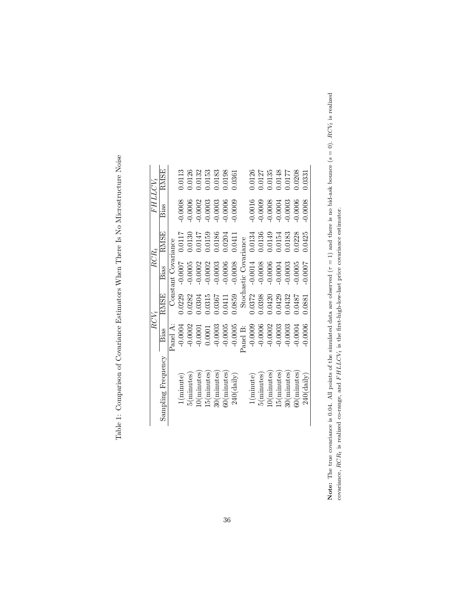|                               | RCV,      |             |                       | $RCR_t$     | <i>FHLLCV</i> , |        |
|-------------------------------|-----------|-------------|-----------------------|-------------|-----------------|--------|
| Sampling Frequency            | Bias      | <b>RMSE</b> | Bias                  | <b>RMSE</b> | Bias            | RMSE   |
|                               | Panel A:  |             | Constant Covariance   |             |                 |        |
| $\left( \text{minute}\right)$ | $-0.0004$ | 0.0229      | $-0.0007$             | 0.0117      | 0.0008          | 0.0113 |
| 5(minutes)                    | $-0.0002$ | 0.282       | $-0.0005$             | 0.0130      | 0.0006          | 0.0126 |
| .0(minutes                    | $-0.0001$ | 0.304       | $-0.0002$             | 0.0147      | 0.0002          | 0.0132 |
| [5(minutes]                   | 0.0001    | 0.315       | $-0.0002$             | 0.0159      | $-0.0003$       | 0.0153 |
| 30(minutes)                   | $-0.0003$ | 1.0367      | $-0.0003$             | 0.0186      | $-0.0003$       | 0.183  |
| $50$ ( $minutes$ )            | $-0.0005$ | 1.0411      | $-0.0006$             | 0.0204      | 0.0006          | 0.0198 |
| $240$ (daily)                 | $-0.0005$ | 0.0859      | $-0.0008$             | 0.0411      | 0.0009          | 0.361  |
|                               | Panel B:  |             | Stochastic Covariance |             |                 |        |
| 1(minute)                     | $-0.0009$ | 0.0372      | $-0.0014$             | 0.0134      | 0.0016          | 0.0126 |
| $5$ (minutes)                 | $-0.0006$ | 0.398       | $-0.0008$             | 0.0136      | 0.0009          | 0.0127 |
| 10(minutes)                   | $-0.0002$ | 0.0420      | $-0.0006$             | 0.0149      | 0.0008          | 0.135  |
| 15(minutes)                   | $-0.0003$ | 0.0429      | $-0.0004$             | 0.0154      | $-0.0004$       | 0.0148 |
| 30(minutes)                   | $-0.0003$ | 0.0432      | $-0.0003$             | 0.0183      | 0.0003          | 1.0177 |
| $50$ ( $minutes$              | $-0.0004$ | 1.0487      | $-0.0005$             | 0.0228      | 0.0006          | 0.0208 |
| 240(daily)                    | 0.0006    | 1.0881      | 0.0007                | 0425        | 0.0008          | 0.331  |

Table 1: Comparison of Covariance Estimators When There Is No Microstructure Noise Table 1: Comparison of Covariance Estimators When There Is No Microstructure Noise

Note: The true covariance is 0.04. All points of the simulated data are observed ( $\tau = 1$ ) and there is no bid-ask bounce ( $s = 0$ ). RCV<sub>i</sub> is realized Note: The true covariance is 0.04. All points of the simulated data are observed  $(\tau = 1)$  and there is no bid-ask bounce  $(s = 0)$ . RCVt is realized covariance,  $RCR_t$  is realized co-range, and  $FHLLCV_t$  is the first-high-low-last price covariance estimator. covariance,  $RCR_t$  is realized co-range, and  $FHLCV_t$  is the first-high-low-last price covariance estimator.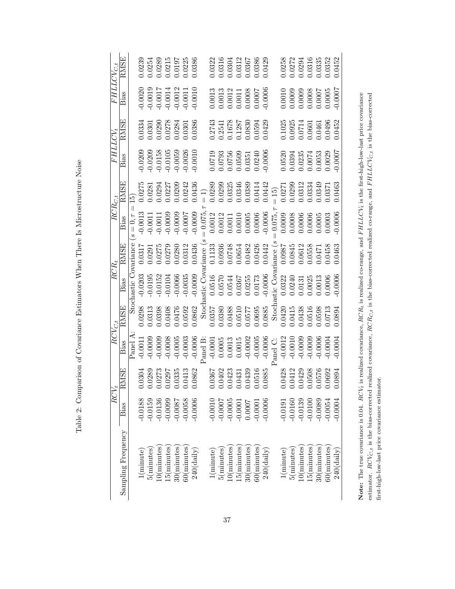| )<br>}<br>}<br>ׅ֧֧ׅ֧֧֚֚֚֚֚֚֚֚֚֚֚֚֚֚֚֚֚֚֚֚֚֚֡֡֡֜֡֜֝֬֝֟֝֜֝֬<br>Ì |
|----------------------------------------------------------------|
|                                                                |
| $\ddot{\phantom{a}}$<br>ĺ                                      |
| $\frac{1}{2}$<br>$-1$                                          |
| j<br>ļ                                                         |
| .<br>.<br>.<br>.<br>ļ                                          |
|                                                                |
| í<br>Ì                                                         |
|                                                                |
| :<br>!                                                         |
| i<br>Si<br>Si<br>ند<br>H                                       |

| $\overline{FHLLCCV_{C,t}}$ | RMSE                    |                       |           |            |                                    |               | $\begin{array}{l} 0.0239 \\ 0.0254 \\ 0.0289 \\ 0.0215 \\ 0.0197 \\ 0.0197 \\ 0.0225 \\ 0.0386 \end{array}$           |                    |               |          |                      | $\begin{array}{l} 0.0322 \\ 0.0316 \\ 0.0304 \\ 0.0304 \\ 0.0367 \\ 0.0367 \\ 0.0367 \\ 0.0386 \end{array}$ |             |                     |                                              |                    |                                                                                                                                                                                                                                                                                             |                    | $\begin{array}{c} 0.0258 \\ 0.0272 \\ 0.0294 \\ 0.0316 \\ 0.0335 \\ 0.0335 \\ \hline \end{array}$      |                                                 |                               |                    |                | 1.0452        |
|----------------------------|-------------------------|-----------------------|-----------|------------|------------------------------------|---------------|-----------------------------------------------------------------------------------------------------------------------|--------------------|---------------|----------|----------------------|-------------------------------------------------------------------------------------------------------------|-------------|---------------------|----------------------------------------------|--------------------|---------------------------------------------------------------------------------------------------------------------------------------------------------------------------------------------------------------------------------------------------------------------------------------------|--------------------|--------------------------------------------------------------------------------------------------------|-------------------------------------------------|-------------------------------|--------------------|----------------|---------------|
|                            | Bias                    |                       |           |            |                                    |               | $\begin{array}{l} 0.0020 \\ -0.0019 \\ -0.0017 \\ -0.0014 \\ -0.0012 \\ -0.0012 \\ -0.0011 \\ -0.0011 \\ \end{array}$ |                    |               |          |                      |                                                                                                             |             |                     |                                              |                    | $\begin{array}{l} 0.0013 \\ 0.0013 \\ 0.0012 \\ 0.0011 \\ 0.0008 \\ 0.0007 \\ 0.0007 \end{array}$                                                                                                                                                                                           |                    | $\begin{array}{l} 0.0010 \\ 0.0009 \\ 0.0009 \\ 0.0008 \\ 0.0007 \\ 0.0007 \\ \end{array}$             |                                                 |                               |                    |                | 0.0007        |
|                            | <b>RMSE</b>             |                       |           |            |                                    |               | $\begin{array}{l} 0.0334 \\ 0.0301 \\ 0.0290 \\ 0.0278 \\ 0.0284 \\ 0.0301 \\ 0.0301 \\ 0.0301 \end{array}$           |                    |               |          |                      |                                                                                                             |             |                     |                                              |                    | $\begin{array}{c} 0.2743 \\ 0.2541 \\ 0.1678 \\ 0.1287 \\ 0.0830 \\ 0.0594 \\ 0.0594 \\ \end{array}$                                                                                                                                                                                        |                    | $\begin{array}{l} 0.1025\ 0.0925\ 0.0714\ 0.0601\ 0.0461\ 0.0496\ 0.0496\ 0.0496\ 0.0452\ \end{array}$ |                                                 |                               |                    |                |               |
| <i>FHLLCV</i> ,            | Bias                    |                       |           |            |                                    |               | $-0.0209$<br>$-0.0158$<br>$-0.0158$<br>$-0.0105$<br>$-0.0059$<br>$-0.0036$<br>$-0.0026$                               |                    |               |          |                      |                                                                                                             |             |                     |                                              |                    | $\begin{array}{l} 0.0719 \\ 0.0793 \\ 0.0756 \\ 0.0509 \\ 0.0351 \\ 0.0351 \\ 0.0240 \\ 0.0240 \\ \end{array}$                                                                                                                                                                              |                    | $\begin{array}{l} 0.0520 \\ 0.0394 \\ 0.0235 \\ 0.0074 \\ 0.0053 \\ 0.0053 \\ 0.0029 \\ \end{array}$   |                                                 |                               |                    |                |               |
|                            | <b>RMSE</b>             | $\widetilde{\Xi}$     |           |            |                                    |               |                                                                                                                       |                    |               |          |                      |                                                                                                             |             |                     |                                              |                    |                                                                                                                                                                                                                                                                                             |                    |                                                                                                        |                                                 |                               |                    |                |               |
| $RCR_{C,t}$                | Bias                    | s                     |           |            |                                    |               |                                                                                                                       |                    |               |          |                      |                                                                                                             |             |                     |                                              |                    | $x = 0, \tau = 0.011$<br>$-0.0011$<br>$-0.0009$<br>$-0.00000$<br>$-0.00000$<br>$-0.00000$<br>$-0.00000$<br>$-0.00000$<br>$-0.0011$<br>$-0.00006$<br>$-0.00006$<br>$-0.00006$<br>$-0.00006$<br>$-0.00006$<br>$-0.00006$<br>$-0.00006$<br>$-0.00006$<br>$-0.00006$<br>$-$                     |                    |                                                                                                        |                                                 |                               |                    |                | 0.0006        |
|                            |                         |                       |           |            |                                    |               |                                                                                                                       |                    |               |          |                      |                                                                                                             |             |                     |                                              |                    | $\begin{array}{l} 0.0317 \\ 0.0291 \\ 0.0275 \\ 0.0312 \\ 0.0312 \\ 0.0336 \\ 0.0338 \\ 0.0338 \\ 0.0338 \\ 0.0348 \\ 0.0348 \\ 0.0342 \\ 0.0425 \\ 0.0442 \\ 0.0035 \\ 0.0045 \\ 0.0036 \\ 0.0043 \\ 0.0037 \\ 0.0038 \\ 0.0038 \\ 0.0038 \\ 0.0038 \\ 0.0038 \\ 0.0038 \\ 0.0038 \\ 0.00$ |                    |                                                                                                        |                                                 |                               |                    |                | 0463          |
| $RCR_t$                    | Bias                    | Stochastic Covariance |           |            |                                    |               |                                                                                                                       |                    |               |          |                      |                                                                                                             |             |                     |                                              |                    | $\begin{array}{cccccc} 0.0203 & 0.0203 & 0.0005 & 0.0005 & 0.01152 & 0.01152 & 0.00066 & 0.00035 & 0.00035 & 0.00000 & 0.00570 & 0.00000 & 0.00000 & 0.00000 & 0.00000 & 0.00000 & 0.00000 & 0.00000 & 0.00000 & 0.00000 & 0.00003 & 0.00000 & 0.00003 & 0.00003 &$                         |                    |                                                                                                        |                                                 |                               |                    |                | 0.0006        |
|                            | <b>RMSE</b>             |                       | 0.0298    |            |                                    |               |                                                                                                                       |                    |               |          |                      |                                                                                                             |             |                     |                                              |                    | $\begin{array}{r} 1313\\ 13988\\ 13088\\ 13082\\ 13082\\ 13588\\ 13588\\ 13588\\ 13588\\ 13588\\ 13588\\ 13588\\ 13588\\ 13588\\ 13588\\ 13588\\ 13588\\ 13588\\ 13588\\ 13588\\ 13588\\ 13588\\ 13588\\ 13588\\ 13588\\ 13588\\ 13588\\ 13588\\ 13588\\ 13588\\ 135$                       |                    |                                                                                                        |                                                 |                               |                    |                | 0.0894        |
| $RCV_{C,t}$                | Bias                    | Panel A               |           |            | $-0.0000$<br>$-0.0000$<br>$0.0000$ |               | $-0.0005$                                                                                                             | $-0.0003$          | $-0.0006$     | Panel B: |                      | $-0.0001$<br>$0.0005$<br>$0.0013$<br>$0.0015$<br>$-0.0002$<br>$-0.0005$                                     |             |                     |                                              |                    | $-0.0006$                                                                                                                                                                                                                                                                                   | Panel C: $-0.0012$ | $-0.0010$                                                                                              | $-0.0009$                                       | $-0.0006$<br>0.0006<br>0.0004 |                    |                | 0.0004        |
|                            | <b>NSE</b><br>$\approx$ |                       |           |            |                                    |               | $\begin{array}{c} 0.0304 \\ 0.0289 \\ 0.0273 \\ 0.0297 \\ 0.0335 \\ 0.0413 \\ 0.0413 \\ 0.0402 \end{array}$           |                    |               |          |                      |                                                                                                             |             |                     |                                              |                    | $\begin{array}{l} 0.0367 \\ 0.0402 \\ 0.0423 \\ 0.0431 \\ 0.0431 \\ 0.0516 \\ 0.0506 \end{array}$                                                                                                                                                                                           |                    | $\begin{array}{c} 0.0428 \\ 0.0412 \\ 0.0429 \\ 0.0508 \\ 0.0576 \end{array}$                          |                                                 |                               |                    | 0.0692         | 0.0894        |
| $\overline{RCV}_t$         | Bias                    |                       | $-0.0188$ | $-0.0159$  | $-0.0136$                          | $-0.0099$     | $-0.0087$                                                                                                             | $-0.0058$          | $-0.0006$     |          | $-0.0010$            | $-0.0007$                                                                                                   | $-0.0005$   | $-0.0001$<br>0.0007 |                                              | $-0.0001$          | $-0.0006$                                                                                                                                                                                                                                                                                   | $-0.0191$          | $-0.0160$                                                                                              | $-0.0139$                                       | $-0.0100$                     | $-0.0089$          | $-0.0054$      | 0.0004        |
|                            | Sampling Frequency      |                       | (minute)  | 5(minutes) | 0(minutes)                         | $5$ (minutes) | $30$ ( $minutes$ )                                                                                                    | $60$ ( $minutes$ ) | $240$ (daily) |          | $\pm(\text{minute})$ | $5$ ( $minutes$ )                                                                                           | .0(minutes) |                     | $15 \mbox{(minutes)} \\ 30 \mbox{(minutes)}$ | $60$ ( $minutes$ ) | $240$ (daily)                                                                                                                                                                                                                                                                               | (minute)           | 5(minutes)                                                                                             | $\frac{10(\text{minutes})}{15(\text{minutes})}$ |                               | $30$ ( $minutes$ ) | $60$ (minutes) | $240$ (daily) |

Note: The true covariance is  $0.04$ .  $RCV_t$  is realized covariance,  $RCR_t$  is realized co-range, and  $FHLLCV_t$  is the first-high-low-last price covariance estimator.  $RCV_{C,t}$  is the bias-corrected realized covariance,  $RCR_{C,t}$  is the bias-corrected realized co-range, and  $FHLLCV_{C,t}$  is the bias-corrected

Note: The true covariance is 0.04.  $RCV_t$  is realized covariance,  $RCR_t$  is realized co-range, and  $FHLLCV_t$  is the first-high-low-last price covariance estimator. RCV<sub>Ct</sub> is the bias-corrected realized covariance, RCR<sub>Ct</sub> is the bias-corrected realized co-range, and FHLLCV<sub>Ct</sub> is the bias-corrected

first-high-low-last price covariance estimator.

first-high-low-last price covariance estimator.

37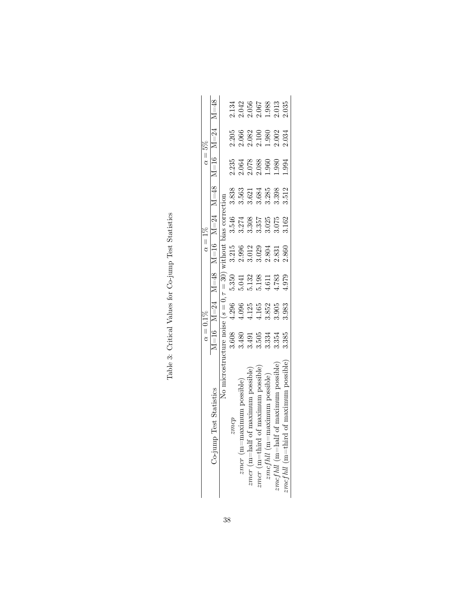|                                                                               | $\alpha=0.1\%$                                                                                                                                                                |       |                                                    | $\alpha = 1\%$                                                                                         |                                                     |                                                                          | $\alpha =$                                                                                    | 5%                                        |                                                                                            |
|-------------------------------------------------------------------------------|-------------------------------------------------------------------------------------------------------------------------------------------------------------------------------|-------|----------------------------------------------------|--------------------------------------------------------------------------------------------------------|-----------------------------------------------------|--------------------------------------------------------------------------|-----------------------------------------------------------------------------------------------|-------------------------------------------|--------------------------------------------------------------------------------------------|
| Co-jump Test Stat                                                             | $M=16$ $M=24$                                                                                                                                                                 |       | $M=48$                                             | $M=16$                                                                                                 | $M = 24$                                            | $M = 48$                                                                 | $M = 16$                                                                                      | $M=24$                                    | $M = 48$                                                                                   |
| No microstruc                                                                 |                                                                                                                                                                               |       |                                                    |                                                                                                        | vithout bias correction                             |                                                                          |                                                                                               |                                           |                                                                                            |
| zmep                                                                          |                                                                                                                                                                               |       |                                                    |                                                                                                        |                                                     | 3.838                                                                    |                                                                                               |                                           |                                                                                            |
| $zmer$ (m=maximum                                                             |                                                                                                                                                                               |       |                                                    |                                                                                                        |                                                     |                                                                          |                                                                                               |                                           |                                                                                            |
| $zmcr$ (m=half of n                                                           |                                                                                                                                                                               |       |                                                    |                                                                                                        |                                                     |                                                                          |                                                                                               |                                           |                                                                                            |
| naxımum possible<br>$mcr$ (m=third of                                         | veture noise $(s = 0, \tau = 30)$<br>3.608 4.296 5.350<br>3.480 4.096 5.041 2<br>3.491 4.125 5.132 3.0<br>505 4.165 5.198 3.02<br>34 3.852 4.611 2.80,<br>4 3.905 4.783 2.831 |       | 5.350<br>5.041<br>5.132<br>5.198<br>4.783<br>4.979 | $\begin{array}{l} 3.215 \\ 2.996 \\ 2.012 \\ 3.012 \\ 3.029 \\ 2.831 \\ 2.831 \\ 2.860 \\ \end{array}$ | 3.546<br>3.274<br>3.3055<br>3.025<br>3.075<br>3.162 | $\begin{array}{c} 3.563 \\ 3.621 \\ 3.684 \\ 3.285 \\ 3.398 \end{array}$ | $\begin{array}{r} 2.335 \\ 2.064 \\ 2.078 \\ 2.088 \\ 1.960 \\ 1.980 \\ 1.980 \\ \end{array}$ | 2.205<br>2.066<br>2.082<br>2.002<br>2.034 | $\begin{array}{l} 2.134 \\ 2.042 \\ 2.056 \\ 2.067 \\ 2.038 \\ 2.013 \\ 2.035 \end{array}$ |
| possible)<br>$x$ mum<br>$zmcfull$ (m=me                                       |                                                                                                                                                                               |       |                                                    |                                                                                                        |                                                     |                                                                          |                                                                                               |                                           |                                                                                            |
| possible<br>$\mathit{mcfhl}$ (m=half of                                       |                                                                                                                                                                               |       |                                                    |                                                                                                        |                                                     |                                                                          |                                                                                               |                                           |                                                                                            |
| um possible<br>$\mathit{3mefhl} \ (\mathit{m}{=}\mathit{third} \ \mathit{on}$ | 3.385                                                                                                                                                                         | 3.983 |                                                    |                                                                                                        |                                                     | 1.512                                                                    | .994                                                                                          |                                           |                                                                                            |

Table 3: Critical Values for Co-jump Test Statistics Table 3: Critical Values for Co-jump Test Statistics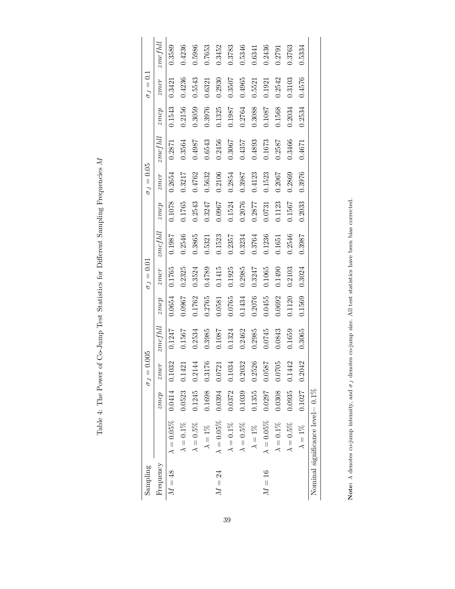| ׇ֚֘֝֬                                                                                                                                                                                                                                              |
|----------------------------------------------------------------------------------------------------------------------------------------------------------------------------------------------------------------------------------------------------|
| l<br>ł<br>ı<br>ļ                                                                                                                                                                                                                                   |
| l                                                                                                                                                                                                                                                  |
| ֧֧֧֧֧֧֧ׅ֧֧֧֧ׅ֧֧֧֧֧֧֧ׅ֧֛֧֧֚֚֚֚֚֚֚֚֚֚֚֚֚֚֚֚֚֚֚֚֚֚֚֚֚֚֝֘֝֓֝֟֓֝֬֝֓֝֬֜֓֝֬֝֓֝֬֜֓֝֬֝֬֝֬֝֬֜֓֝֬֝֬<br>ׇ֘֒<br>)<br>I<br>ļ<br>؟<br>أ<br>י                                                                                                                      |
| ;<br>;                                                                                                                                                                                                                                             |
| ł                                                                                                                                                                                                                                                  |
| J<br>ŀ<br>۱                                                                                                                                                                                                                                        |
| ł<br>i                                                                                                                                                                                                                                             |
|                                                                                                                                                                                                                                                    |
| is a company of the company of the company of the company of the company of the company of the company of the company of the company of the company of the company of the company of the company of the company of the company<br>ļ<br>l<br>i<br>Ì |
| l                                                                                                                                                                                                                                                  |
| l<br>į<br>j<br>l<br>I                                                                                                                                                                                                                              |

| Sampling  |                                      |        | 0.005<br>$\sigma_J =$ |         |        | $\sigma_J=0.01$ |         |        | $\sigma_J=0.05$ |                      |        | $\sigma_J=0.1$ |         |
|-----------|--------------------------------------|--------|-----------------------|---------|--------|-----------------|---------|--------|-----------------|----------------------|--------|----------------|---------|
| Frequency |                                      | zmcp   | zmer                  | zmc fhl | zmcp   | zmcr            | zmcfhll | guitz  | zmer            | $\mathfrak{mcf}$ hll | zmcp   | zmcr           | zmcfull |
| $M = 48$  | $\lambda = 0.05\%$ 0.0414            |        | 0.1032                | 0.1247  | 0.0654 | 0.1765          | 0.1987  | 0.1078 | 0.2654          | 0.2871               | 0.1543 | 0.3421         | 0.3589  |
|           | $\lambda = 0.1\%$                    | 0.0523 | 0.1421                | 0.1567  | 0.0967 | 0.2325          | 0.2546  | 0.1765 | 0.3217          | 0.3564               | 0.2156 | 0.4236         | 0.4236  |
|           | $\lambda=0.5\%$                      | 0.1245 | 0.2144                | 0.2534  | 0.1762 | 0.3524          | 0.3865  | 0.2543 | 0.4762          | 0.4987               | 0.3059 | 0.5543         | 0.5986  |
|           | $\lambda=1\%$                        | 0.1698 | 0.3176                | 0.3985  | 0.2765 | 0.4789          | 0.5321  | 0.3247 | 0.5632          | 0.6543               | 0.3976 | 0.6321         | 0.7653  |
| $M=24$    | $\lambda=0.05\%$                     | 0.0394 | 0.0721                | 0.1087  | 0.0581 | 0.1415          | 0.1523  | 0.0967 | 0.2106          | 0.2456               | 0.1325 | 0.2930         | 0.3452  |
|           | $\lambda=0.1\%$                      | 0.0372 | 0.1034                | 0.1324  | 0.0765 | 0.1925          | 0.2357  | 0.1524 | 0.2854          | 0.3067               | 0.1987 | 0.3507         | 0.3783  |
|           | $\lambda=0.5\%$                      | 0.1039 | 0.2032                | 0.2462  | 0.1434 | 0.2985          | 0.3234  | 0.2076 | 0.3987          | 0.4357               | 0.2764 | 0.4965         | 0.5346  |
|           | $\lambda=1\%$                        | 0.1355 | 0.2526                | 0.2985  | 0.2076 | 0.3247          | 0.3764  | 0.2877 | 0.4123          | 0.4893               | 0.3088 | 0.5521         | 0.6341  |
| $M = 16$  | $\lambda = 0.05\%$                   | 0.0297 | 0.0587                | 0.0745  | 0.0455 | 0.1065          | 0.1236  | 0.0731 | 0.1523          | 0.1673               | 0.1087 | 0.1921         | 0.2436  |
|           | $\lambda=0.1\%$                      | 0.0308 | 0.0705                | 0.0843  | 0.0692 | 0.1490          | 0.1651  | 0.1123 | 0.2067          | 0.2587               | 0.1568 | 0.2542         | 0.2791  |
|           | $\lambda=0.5\%$                      | 0.0935 | 0.1442                | 0.1659  | 0.1120 | 0.2103          | 0.2546  | 0.1567 | 0.2869          | 0.3466               | 0.2034 | 0.3103         | 0.3763  |
|           | $\lambda = 1\%$                      | 0.1027 | 0.2042                | 0.3065  | 0.1569 | 0.3024          | 0.3987  | 0.2033 | 0.3976          | 0.4671               | 0.2534 | 0.4576         | 0.5334  |
|           | Nominal significance level $= 0.1\%$ |        |                       |         |        |                 |         |        |                 |                      |        |                |         |

Note:  $\lambda$  denotes co-jump intensity, and  $\sigma_J$  denotes co-jump size. All test statistics have been bias corrected. Note:  $\lambda$  denotes co-jump intensity, and  $\sigma_J$  denotes co-jump size. All test statistics have been bias corrected.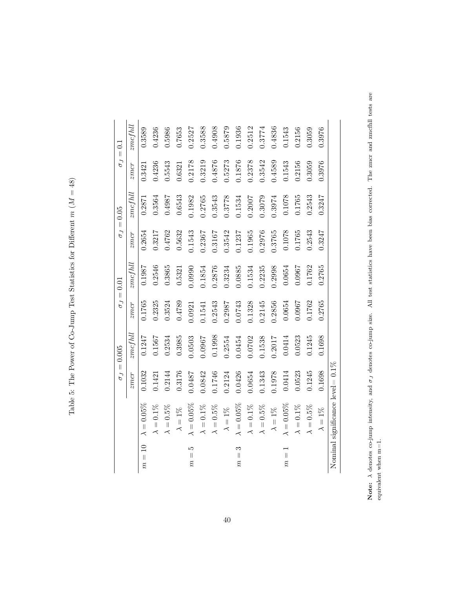|                                   |                                      |        | $\sigma_J=0.005$ | $\sigma_J =$ | 0.01           |        | $\sigma_J=0.05$ |        | $\sigma_J=0.1$ |
|-----------------------------------|--------------------------------------|--------|------------------|--------------|----------------|--------|-----------------|--------|----------------|
|                                   |                                      | zmcr   | $zmcfull$        | zmer         | $zmc$ f $h$ ll | zmer   | $zmc$ f $hll$   | zmer   | zmcfull        |
| $\overline{10}$<br>$m =$          | $\lambda = 0.05\%$                   | 0.1032 | 0.1247           | 0.1765       | 0.1987         | 0.2654 | 0.2871          | 0.3421 | 0.3589         |
|                                   | $\lambda=0.1\%$                      | 0.1421 | 0.1567           | 0.2325       | 0.2546         | 0.3217 | 0.3564          | 0.4236 | 0.4236         |
|                                   | $\lambda = 0.5\%$                    | 0.2144 | 0.2534           | 0.3524       | 0.3865         | 0.4762 | 0.4987          | 0.5543 | 0.5986         |
|                                   | $\lambda=1\%$                        | 0.3176 | 0.3985           | 0.4789       | 0.5321         | 0.5632 | 0.6543          | 0.6321 | 0.7653         |
| ŗΟ<br>$\vert\vert$<br>$\tilde{m}$ | $\lambda = 0.05\%$                   | 0.0487 | 0.0503           | 0.0921       | 0.0990         | 0.1543 | 0.1982          | 0.2178 | 0.2527         |
|                                   | $\lambda=0.1\%$                      | 0.0842 | 0.0967           | 0.1541       | 1.1854         | 0.2367 | 0.2765          | 0.3219 | 0.3588         |
|                                   | $\lambda = 0.5\%$                    | 0.1746 | 0.1998           | 0.2543       | 0.2876         | 0.3167 | 0.3543          | 0.4876 | 0.4908         |
|                                   | $\lambda=1\%$                        | 0.2124 | 0.2554           | 0.2987       | 0.3234         | 0.3542 | 0.3778          | 0.5273 | 0.5879         |
| S<br>$m =$                        | $\lambda = 0.05\%$                   | 0.0426 | 0.0454           | 0.0743       | 0.0885         | 0.1237 | 0.1534          | 0.1876 | 0.1936         |
|                                   | $\lambda=0.1\%$                      | 0.0654 | 0.0702           | 0.1328       | 0.1534         | 0.1965 | 0.2007          | 0.2378 | 0.2512         |
|                                   | $\lambda = 0.5\%$                    | 0.1343 | 0.1538           | 0.2145       | 0.2235         | 0.2976 | 0.3079          | 0.3542 | 0.3774         |
|                                   | $\lambda=1\%$                        | 0.1978 | 0.2017           | 0.2856       | 0.2998         | 0.3765 | 0.3974          | 0.4589 | 0.4836         |
| $m =$                             | $\lambda = 0.05\%$                   | 0.0414 | 0.0414           | 0.0654       | 0.0654         | 0.1078 | 0.1078          | 0.1543 | 0.1543         |
|                                   | $\lambda = 0.1\%$                    | 0.0523 | 0.0523           | 0.0967       | 0.0967         | 0.1765 | 0.1765          | 0.2156 | 0.2156         |
|                                   | $\lambda = 0.5\%$                    | 0.1245 | 0.1245           | 0.1762       | 0.1762         | 0.2543 | 0.2543          | 0.3059 | 0.3059         |
|                                   | $\lambda=1\%$                        | 0.1698 | 0.1698           | 0.2765       | 0.2765         | 0.3247 | 0.3247          | 0.3976 | 0.3976         |
|                                   | Nominal significance level $= 0.1\%$ |        |                  |              |                |        |                 |        |                |

Note:  $\lambda$  denotes co-jump intensity, and  $\sigma_J$  denotes co-jump size. All test statistics have been bias corrected. The zmcr and zmcfhll tests are

Note:  $\lambda$  denotes co-jump intensity, and  $\sigma_J$  denotes co-jump size. All test statistics have been bias corrected. The zmcr and zmcfhll tests are equivalent when m=1.

equivalent when m=1.

Table 5: The Power of Co-Jump Test Statistics for Different  $m (M = 48)$ Table 5: The Power of Co-Jump Test Statistics for Different  $m$  ( $M = 48$ )